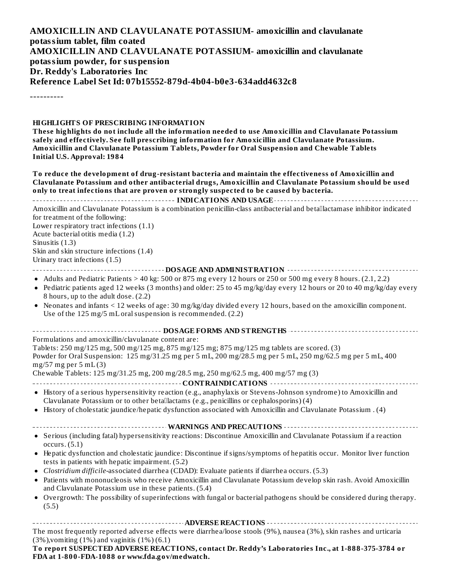#### **AMOXICILLIN AND CLAVULANATE POTASSIUM- amoxicillin and clavulanate potassium tablet, film coated AMOXICILLIN AND CLAVULANATE POTASSIUM- amoxicillin and clavulanate potassium powder, for suspension Dr. Reddy's Laboratories Inc Reference Label Set Id: 07b15552-879d-4b04-b0e3-634add4632c8**

----------

#### **HIGHLIGHTS OF PRESCRIBING INFORMATION**

**These highlights do not include all the information needed to use Amoxicillin and Clavulanate Potassium safely and effectively. See full prescribing information for Amoxicillin and Clavulanate Potassium. Amoxicillin and Clavulanate Potassium Tablets, Powder for Oral Suspension and Chewable Tablets Initial U.S. Approval: 1984**

**To reduce the development of drug-resistant bacteria and maintain the effectiveness of Amoxicillin and Clavulanate Potassium and other antibacterial drugs, Amoxicillin and Clavulanate Potassium should be used only to treat infections that are proven or strongly suspected to be caused by bacteria. INDICATIONS AND USAGE** *CONSTRUMS AND USAGE CONSTRUMS AND USAGE CONSTRUMS* Amoxicillin and Clavulanate Potassium is a combination penicillin-class antibacterial and betallactamase inhibitor indicated for treatment of the following: Lower respiratory tract infections (1.1) Acute bacterial otitis media (1.2) Sinusitis (1.3) Skin and skin structure infections (1.4) Urinary tract infections (1.5) **DOSAGE AND ADMINISTRATION** • Adults and Pediatric Patients  $> 40$  kg: 500 or 875 mg every 12 hours or 250 or 500 mg every 8 hours. (2.1, 2.2) Pediatric patients aged 12 weeks (3 months) and older: 25 to 45 mg/kg/day every 12 hours or 20 to 40 mg/kg/day every  $\bullet$ 8 hours, up to the adult dose. (2.2) Neonates and infants < 12 weeks of age: 30 mg/kg/day divided every 12 hours, based on the amoxicillin component. Use of the 125 mg/5 mL oral suspension is recommended. (2.2) **DOSAGE FORMS AND STRENGTHS** Formulations and amoxicillin/clavulanate content are: Tablets: 250 mg/125 mg, 500 mg/125 mg, 875 mg/125 mg; 875 mg/125 mg tablets are scored. (3) Powder for Oral Suspension: 125 mg/31.25 mg per 5 mL, 200 mg/28.5 mg per 5 mL, 250 mg/62.5 mg per 5 mL, 400 mg/57 mg per 5 mL (3) Chewable Tablets: 125 mg/31.25 mg, 200 mg/28.5 mg, 250 mg/62.5 mg, 400 mg/57 mg (3) **CONTRAINDICATIONS** History of a serious hypersensitivity reaction (e.g., anaphylaxis or Stevens-Johnson syndrome) to Amoxicillin and Clavulanate Potassium or to other betallactams (e.g., penicillins or cephalosporins) (4) History of cholestatic jaundice/hepatic dysfunction associated with Amoxicillin and Clavulanate Potassium . (4) **WARNINGS AND PRECAUTIONS** Serious (including fatal) hypersensitivity reactions: Discontinue Amoxicillin and Clavulanate Potassium if a reaction occurs. (5.1) Hepatic dysfunction and cholestatic jaundice: Discontinue if signs/symptoms of hepatitis occur. Monitor liver function tests in patients with hepatic impairment. (5.2) *Clostridium difficile*-associated diarrhea (CDAD): Evaluate patients if diarrhea occurs. (5.3) Patients with mononucleosis who receive Amoxicillin and Clavulanate Potassium develop skin rash. Avoid Amoxicillin and Clavulanate Potassium use in these patients. (5.4) Overgrowth: The possibility of superinfections with fungal or bacterial pathogens should be considered during therapy. (5.5) **ADVERSE REACTIONS**

The most frequently reported adverse effects were diarrhea/loose stools (9%), nausea (3%), skin rashes and urticaria  $(3\%)$ , vomiting  $(1\%)$  and vaginitis  $(1\%)$   $(6.1)$ 

**To report SUSPECTED ADVERSE REACTIONS, contact Dr. Reddy's Laboratories Inc., at 1-888-375-3784 or FDA at 1-800-FDA-1088 or www.fda.gov/medwatch.**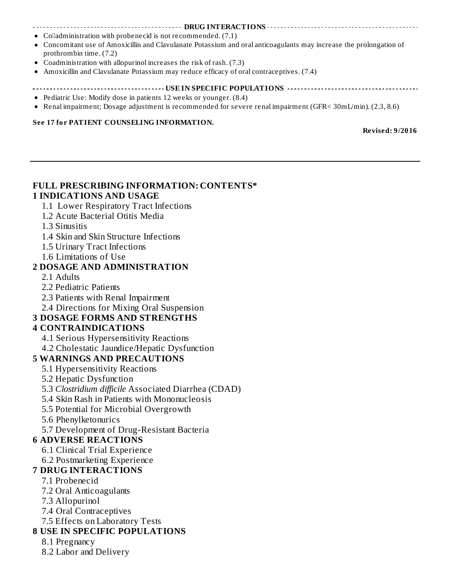#### **DRUG INTERACTIONS**

- $\bullet$  Colladministration with probenecid is not recommended. (7.1)
- Concomitant use of Amoxicillin and Clavulanate Potassium and oral anticoagulants may increase the prolongation of prothrombin time. (7.2)
- Coadministration with allopurinol increases the risk of rash. (7.3)
- Amoxicillin and Clavulanate Potassium may reduce efficacy of oral contraceptives. (7.4)

#### **USEABLE POPULATIONS WELFILM SPECIFIC POPULATIONS**  $\cdots$

- Pediatric Use: Modify dose in patients 12 weeks or younger. (8.4)
- Renal impairment; Dosage adjustment is recommended for severe renal impairment (GFR< 30mL/min). (2.3, 8.6)

#### **See 17 for PATIENT COUNSELING INFORMATION.**

**Revised: 9/2016**

#### **FULL PRESCRIBING INFORMATION: CONTENTS\* 1 INDICATIONS AND USAGE**

- 1.1 Lower Respiratory Tract Infections
- 1.2 Acute Bacterial Otitis Media
- 1.3 Sinusitis
- 1.4 Skin and Skin Structure Infections
- 1.5 Urinary Tract Infections
- 1.6 Limitations of Use

#### **2 DOSAGE AND ADMINISTRATION**

- 2.1 Adults
- 2.2 Pediatric Patients
- 2.3 Patients with Renal Impairment
- 2.4 Directions for Mixing Oral Suspension

### **3 DOSAGE FORMS AND STRENGTHS**

#### **4 CONTRAINDICATIONS**

- 4.1 Serious Hypersensitivity Reactions
- 4.2 Cholestatic Jaundice/Hepatic Dysfunction

#### **5 WARNINGS AND PRECAUTIONS**

- 5.1 Hypersensitivity Reactions
- 5.2 Hepatic Dysfunction
- 5.3 *Clostridium difficile* Associated Diarrhea (CDAD)
- 5.4 Skin Rash in Patients with Mononucleosis
- 5.5 Potential for Microbial Overgrowth
- 5.6 Phenylketonurics
- 5.7 Development of Drug-Resistant Bacteria

#### **6 ADVERSE REACTIONS**

- 6.1 Clinical Trial Experience
- 6.2 Postmarketing Experience

### **7 DRUG INTERACTIONS**

- 7.1 Probenecid
- 7.2 Oral Anticoagulants
- 7.3 Allopurinol
- 7.4 Oral Contraceptives
- 7.5 Effects on Laboratory Tests

#### **8 USE IN SPECIFIC POPULATIONS**

- 8.1 Pregnancy
- 8.2 Labor and Delivery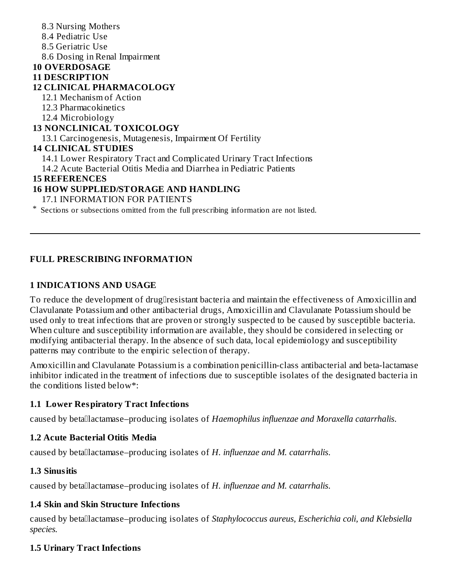#### 8.3 Nursing Mothers 8.4 Pediatric Use 8.5 Geriatric Use 8.6 Dosing in Renal Impairment **10 OVERDOSAGE 11 DESCRIPTION 12 CLINICAL PHARMACOLOGY** 12.1 Mechanism of Action 12.3 Pharmacokinetics 12.4 Microbiology **13 NONCLINICAL TOXICOLOGY** 13.1 Carcinogenesis, Mutagenesis, Impairment Of Fertility **14 CLINICAL STUDIES** 14.1 Lower Respiratory Tract and Complicated Urinary Tract Infections 14.2 Acute Bacterial Otitis Media and Diarrhea in Pediatric Patients **15 REFERENCES 16 HOW SUPPLIED/STORAGE AND HANDLING** 17.1 INFORMATION FOR PATIENTS

\* Sections or subsections omitted from the full prescribing information are not listed.

## **FULL PRESCRIBING INFORMATION**

### **1 INDICATIONS AND USAGE**

To reduce the development of drugllresistant bacteria and maintain the effectiveness of Amoxicillin and Clavulanate Potassium and other antibacterial drugs, Amoxicillin and Clavulanate Potassium should be used only to treat infections that are proven or strongly suspected to be caused by susceptible bacteria. When culture and susceptibility information are available, they should be considered in selecting or modifying antibacterial therapy. In the absence of such data, local epidemiology and susceptibility patterns may contribute to the empiric selection of therapy.

Amoxicillin and Clavulanate Potassium is a combination penicillin-class antibacterial and beta-lactamase inhibitor indicated in the treatment of infections due to susceptible isolates of the designated bacteria in the conditions listed below\*:

#### **1.1 Lower Respiratory Tract Infections**

caused by betalactamase–producing isolates of *Haemophilus influenzae and Moraxella catarrhalis*.

#### **1.2 Acute Bacterial Otitis Media**

caused by betallactamase–producing isolates of H. *influenzae and M. catarrhalis.* 

#### **1.3 Sinusitis**

caused by betallactamase–producing isolates of *H. influenzae and M. catarrhalis.* 

### **1.4 Skin and Skin Structure Infections**

caused by betalactamase–producing isolates of *Staphylococcus aureus, Escherichia coli, and Klebsiella species.*

### **1.5 Urinary Tract Infections**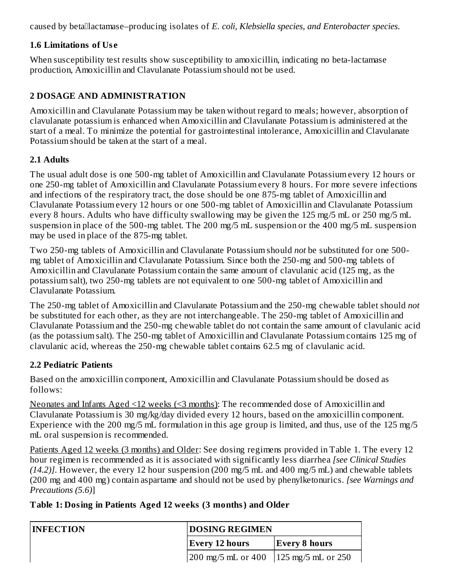caused by betalactamase–producing isolates of *E. coli, Klebsiella species, and Enterobacter species*.

## **1.6 Limitations of Us e**

When susceptibility test results show susceptibility to amoxicillin, indicating no beta-lactamase production, Amoxicillin and Clavulanate Potassium should not be used.

## **2 DOSAGE AND ADMINISTRATION**

Amoxicillin and Clavulanate Potassium may be taken without regard to meals; however, absorption of clavulanate potassium is enhanced when Amoxicillin and Clavulanate Potassium is administered at the start of a meal. To minimize the potential for gastrointestinal intolerance, Amoxicillin and Clavulanate Potassium should be taken at the start of a meal.

## **2.1 Adults**

The usual adult dose is one 500-mg tablet of Amoxicillin and Clavulanate Potassium every 12 hours or one 250-mg tablet of Amoxicillin and Clavulanate Potassium every 8 hours. For more severe infections and infections of the respiratory tract, the dose should be one 875-mg tablet of Amoxicillin and Clavulanate Potassium every 12 hours or one 500-mg tablet of Amoxicillin and Clavulanate Potassium every 8 hours. Adults who have difficulty swallowing may be given the 125 mg/5 mL or 250 mg/5 mL suspension in place of the 500-mg tablet. The 200 mg/5 mL suspension or the 400 mg/5 mL suspension may be used in place of the 875-mg tablet.

Two 250-mg tablets of Amoxicillin and Clavulanate Potassium should *not* be substituted for one 500 mg tablet of Amoxicillin and Clavulanate Potassium. Since both the 250-mg and 500-mg tablets of Amoxicillin and Clavulanate Potassium contain the same amount of clavulanic acid (125 mg, as the potassium salt), two 250-mg tablets are not equivalent to one 500-mg tablet of Amoxicillin and Clavulanate Potassium.

The 250-mg tablet of Amoxicillin and Clavulanate Potassium and the 250-mg chewable tablet should *not* be substituted for each other, as they are not interchangeable. The 250-mg tablet of Amoxicillin and Clavulanate Potassium and the 250-mg chewable tablet do not contain the same amount of clavulanic acid (as the potassium salt). The 250-mg tablet of Amoxicillin and Clavulanate Potassium contains 125 mg of clavulanic acid, whereas the 250-mg chewable tablet contains 62.5 mg of clavulanic acid.

## **2.2 Pediatric Patients**

Based on the amoxicillin component, Amoxicillin and Clavulanate Potassium should be dosed as follows:

Neonates and Infants Aged <12 weeks (<3 months): The recommended dose of Amoxicillin and Clavulanate Potassium is 30 mg/kg/day divided every 12 hours, based on the amoxicillin component. Experience with the 200 mg/5 mL formulation in this age group is limited, and thus, use of the 125 mg/5 mL oral suspension is recommended.

Patients Aged 12 weeks (3 months) and Older: See dosing regimens provided in Table 1. The every 12 hour regimen is recommended as it is associated with significantly less diarrhea *[see Clinical Studies (14.2)]*. However, the every 12 hour suspension (200 mg/5 mL and 400 mg/5 mL) and chewable tablets (200 mg and 400 mg) contain aspartame and should not be used by phenylketonurics. *[see Warnings and Precautions (5.6)*]

## **Table 1: Dosing in Patients Aged 12 weeks (3 months) and Older**

| <b>INFECTION</b> | <b>DOSING REGIMEN</b>                                                                     |               |  |  |
|------------------|-------------------------------------------------------------------------------------------|---------------|--|--|
|                  | <b>Every 12 hours</b>                                                                     | Every 8 hours |  |  |
|                  | $\frac{200 \text{ mg}}{5 \text{ mL}}$ or 400 $\frac{125 \text{ mg}}{5 \text{ mL}}$ or 250 |               |  |  |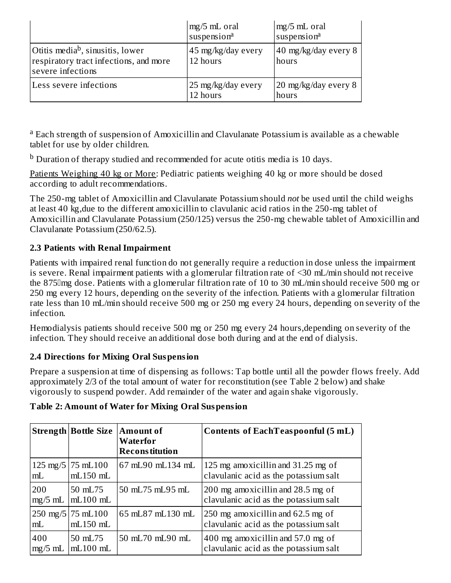|                                                                                                             | $mg/5$ mL oral<br>suspension <sup>a</sup> | mg/5 mL oral<br>suspension <sup>a</sup> |
|-------------------------------------------------------------------------------------------------------------|-------------------------------------------|-----------------------------------------|
| Otitis media <sup>b</sup> , sinusitis, lower<br>respiratory tract infections, and more<br>severe infections | 45 mg/kg/day every<br>12 hours            | 40 mg/kg/day every 8<br>hours           |
| Less severe infections                                                                                      | 25 mg/kg/day every<br>12 hours            | 20 mg/kg/day every 8<br>hours           |

<sup>a</sup> Each strength of suspension of Amoxicillin and Clavulanate Potassium is available as a chewable tablet for use by older children.

 $^{\rm b}$  Duration of therapy studied and recommended for acute otitis media is 10 days.

Patients Weighing 40 kg or More: Pediatric patients weighing 40 kg or more should be dosed according to adult recommendations.

The 250-mg tablet of Amoxicillin and Clavulanate Potassium should *not* be used until the child weighs at least 40 kg,due to the different amoxicillin to clavulanic acid ratios in the 250-mg tablet of Amoxicillin and Clavulanate Potassium (250/125) versus the 250-mg chewable tablet of Amoxicillin and Clavulanate Potassium (250/62.5).

## **2.3 Patients with Renal Impairment**

Patients with impaired renal function do not generally require a reduction in dose unless the impairment is severe. Renal impairment patients with a glomerular filtration rate of <30 mL/min should not receive the 875mg dose. Patients with a glomerular filtration rate of 10 to 30 mL/min should receive 500 mg or 250 mg every 12 hours, depending on the severity of the infection. Patients with a glomerular filtration rate less than 10 mL/min should receive 500 mg or 250 mg every 24 hours, depending on severity of the infection.

Hemodialysis patients should receive 500 mg or 250 mg every 24 hours,depending on severity of the infection. They should receive an additional dose both during and at the end of dialysis.

## **2.4 Directions for Mixing Oral Suspension**

Prepare a suspension at time of dispensing as follows: Tap bottle until all the powder flows freely. Add approximately 2/3 of the total amount of water for reconstitution (see Table 2 below) and shake vigorously to suspend powder. Add remainder of the water and again shake vigorously.

|                    | <b>Strength Bottle Size   Amount of</b>      | Waterfor<br><b>Reconstitution</b> | <b>Contents of EachTeaspoonful (5 mL)</b>                                  |
|--------------------|----------------------------------------------|-----------------------------------|----------------------------------------------------------------------------|
| $125 \text{ mg}/5$ | 75 mL100                                     | 67 mL90 mL134 mL                  | 125 mg amoxicillin and 31.25 mg of                                         |
| mL                 | $mL150$ $mL$                                 |                                   | clavulanic acid as the potassium salt                                      |
| 200                | 50 mL75                                      | 50 mL75 mL95 mL                   | 200 mg amoxicillin and 28.5 mg of                                          |
| $mg/5$ mL          | $mL100$ mL                                   |                                   | clavulanic acid as the potassium salt                                      |
| mL                 | $250 \text{ mg}/5$ 75 mL $100$<br>$mL150$ mL | 65 mL87 mL130 mL                  | 250 mg amoxicillin and 62.5 mg of<br>clavulanic acid as the potassium salt |
| 400                | 50 mL75                                      | 50 mL70 mL90 mL                   | 400 mg amoxicillin and 57.0 mg of                                          |
| $mg/5$ mL          | $mL100$ mL                                   |                                   | clavulanic acid as the potassium salt                                      |

## **Table 2: Amount of Water for Mixing Oral Suspension**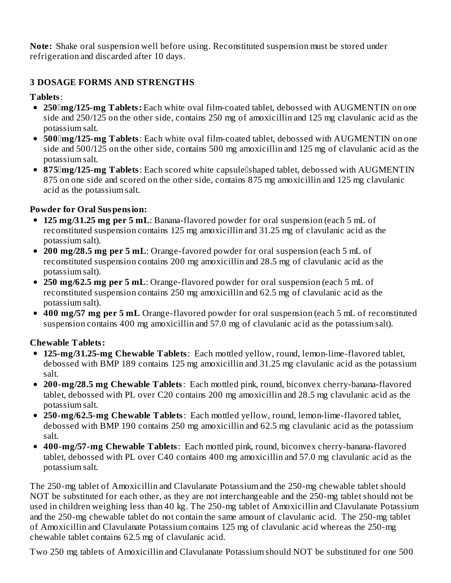**Note:** Shake oral suspension well before using. Reconstituted suspension must be stored under refrigeration and discarded after 10 days.

## **3 DOSAGE FORMS AND STRENGTHS**

### **Tablets**:

- **250mg/125-mg Tablets:** Each white oval film-coated tablet, debossed with AUGMENTIN on one side and 250/125 on the other side, contains 250 mg of amoxicillin and 125 mg clavulanic acid as the potassium salt.
- **500mg/125-mg Tablets**: Each white oval film-coated tablet, debossed with AUGMENTIN on one side and 500/125 on the other side, contains 500 mg amoxicillin and 125 mg of clavulanic acid as the potassium salt.
- **875 mg/125-mg Tablets:** Each scored white capsule shaped tablet, debossed with AUGMENTIN 875 on one side and scored on the other side, contains 875 mg amoxicillin and 125 mg clavulanic acid as the potassium salt.

## **Powder for Oral Suspension:**

- **125 mg/31.25 mg per 5 mL**: Banana-flavored powder for oral suspension (each 5 mL of reconstituted suspension contains 125 mg amoxicillin and 31.25 mg of clavulanic acid as the potassium salt).
- **200 mg/28.5 mg per 5 mL**: Orange-favored powder for oral suspension (each 5 mL of reconstituted suspension contains 200 mg amoxicillin and 28.5 mg of clavulanic acid as the potassium salt).
- **250 mg/62.5 mg per 5 mL**: Orange-flavored powder for oral suspension (each 5 mL of reconstituted suspension contains 250 mg amoxicillin and 62.5 mg of clavulanic acid as the potassium salt).
- **400 mg/57 mg per 5 mL** Orange-flavored powder for oral suspension (each 5 mL of reconstituted suspension contains 400 mg amoxicillin and 57.0 mg of clavulanic acid as the potassium salt).

### **Chewable Tablets:**

- **125-mg/31.25-mg Chewable Tablets**: Each mottled yellow, round, lemon-lime-flavored tablet, debossed with BMP 189 contains 125 mg amoxicillin and 31.25 mg clavulanic acid as the potassium salt.
- **200-mg/28.5 mg Chewable Tablets**: Each mottled pink, round, biconvex cherry-banana-flavored tablet, debossed with PL over C20 contains 200 mg amoxicillin and 28.5 mg clavulanic acid as the potassium salt.
- **250-mg/62.5-mg Chewable Tablets**: Each mottled yellow, round, lemon-lime-flavored tablet, debossed with BMP 190 contains 250 mg amoxicillin and 62.5 mg clavulanic acid as the potassium salt.
- **400-mg/57-mg Chewable Tablets**: Each mottled pink, round, biconvex cherry-banana-flavored tablet, debossed with PL over C40 contains 400 mg amoxicillin and 57.0 mg clavulanic acid as the potassium salt.

The 250-mg tablet of Amoxicillin and Clavulanate Potassium and the 250-mg chewable tablet should NOT be substituted for each other, as they are not interchangeable and the 250-mg tablet should not be used in children weighing less than 40 kg. The 250-mg tablet of Amoxicillin and Clavulanate Potassium and the 250-mg chewable tablet do not contain the same amount of clavulanic acid. The 250-mg tablet of Amoxicillin and Clavulanate Potassium contains 125 mg of clavulanic acid whereas the 250-mg chewable tablet contains 62.5 mg of clavulanic acid.

Two 250 mg tablets of Amoxicillin and Clavulanate Potassium should NOT be substituted for one 500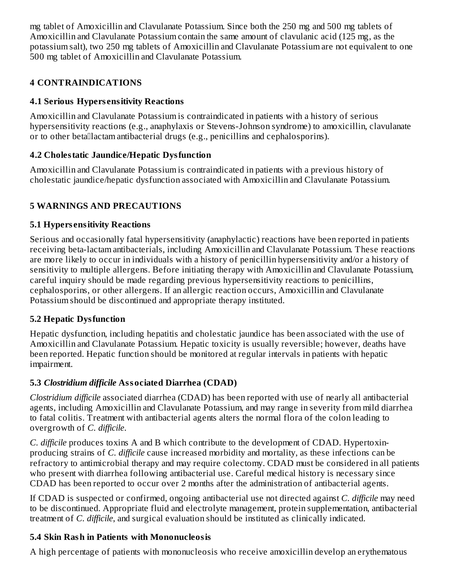mg tablet of Amoxicillin and Clavulanate Potassium. Since both the 250 mg and 500 mg tablets of Amoxicillin and Clavulanate Potassium contain the same amount of clavulanic acid (125 mg, as the potassium salt), two 250 mg tablets of Amoxicillin and Clavulanate Potassium are not equivalent to one 500 mg tablet of Amoxicillin and Clavulanate Potassium.

## **4 CONTRAINDICATIONS**

## **4.1 Serious Hypers ensitivity Reactions**

Amoxicillin and Clavulanate Potassium is contraindicated in patients with a history of serious hypersensitivity reactions (e.g., anaphylaxis or Stevens-Johnson syndrome) to amoxicillin, clavulanate or to other betallactam antibacterial drugs (e.g., penicillins and cephalosporins).

## **4.2 Cholestatic Jaundice/Hepatic Dysfunction**

Amoxicillin and Clavulanate Potassium is contraindicated in patients with a previous history of cholestatic jaundice/hepatic dysfunction associated with Amoxicillin and Clavulanate Potassium.

## **5 WARNINGS AND PRECAUTIONS**

## **5.1 Hypers ensitivity Reactions**

Serious and occasionally fatal hypersensitivity (anaphylactic) reactions have been reported in patients receiving beta-lactam antibacterials, including Amoxicillin and Clavulanate Potassium. These reactions are more likely to occur in individuals with a history of penicillin hypersensitivity and/or a history of sensitivity to multiple allergens. Before initiating therapy with Amoxicillin and Clavulanate Potassium, careful inquiry should be made regarding previous hypersensitivity reactions to penicillins, cephalosporins, or other allergens. If an allergic reaction occurs, Amoxicillin and Clavulanate Potassium should be discontinued and appropriate therapy instituted.

## **5.2 Hepatic Dysfunction**

Hepatic dysfunction, including hepatitis and cholestatic jaundice has been associated with the use of Amoxicillin and Clavulanate Potassium. Hepatic toxicity is usually reversible; however, deaths have been reported. Hepatic function should be monitored at regular intervals in patients with hepatic impairment.

## **5.3** *Clostridium difficile* **Associated Diarrhea (CDAD)**

*Clostridium difficile* associated diarrhea (CDAD) has been reported with use of nearly all antibacterial agents, including Amoxicillin and Clavulanate Potassium, and may range in severity from mild diarrhea to fatal colitis. Treatment with antibacterial agents alters the normal flora of the colon leading to overgrowth of *C. difficile*.

*C. difficile* produces toxins A and B which contribute to the development of CDAD. Hypertoxinproducing strains of *C. difficile* cause increased morbidity and mortality, as these infections can be refractory to antimicrobial therapy and may require colectomy. CDAD must be considered in all patients who present with diarrhea following antibacterial use. Careful medical history is necessary since CDAD has been reported to occur over 2 months after the administration of antibacterial agents.

If CDAD is suspected or confirmed, ongoing antibacterial use not directed against *C. difficile* may need to be discontinued. Appropriate fluid and electrolyte management, protein supplementation, antibacterial treatment of *C. difficile*, and surgical evaluation should be instituted as clinically indicated.

## **5.4 Skin Rash in Patients with Mononucleosis**

A high percentage of patients with mononucleosis who receive amoxicillin develop an erythematous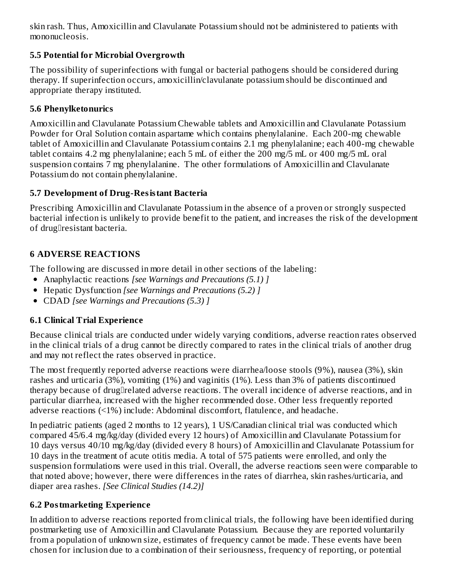skin rash. Thus, Amoxicillin and Clavulanate Potassium should not be administered to patients with mononucleosis.

## **5.5 Potential for Microbial Overgrowth**

The possibility of superinfections with fungal or bacterial pathogens should be considered during therapy. If superinfection occurs, amoxicillin/clavulanate potassium should be discontinued and appropriate therapy instituted.

## **5.6 Phenylketonurics**

Amoxicillin and Clavulanate Potassium Chewable tablets and Amoxicillin and Clavulanate Potassium Powder for Oral Solution contain aspartame which contains phenylalanine. Each 200-mg chewable tablet of Amoxicillin and Clavulanate Potassium contains 2.1 mg phenylalanine; each 400-mg chewable tablet contains 4.2 mg phenylalanine; each 5 mL of either the 200 mg/5 mL or 400 mg/5 mL oral suspension contains 7 mg phenylalanine. The other formulations of Amoxicillin and Clavulanate Potassium do not contain phenylalanine.

## **5.7 Development of Drug-Resistant Bacteria**

Prescribing Amoxicillin and Clavulanate Potassium in the absence of a proven or strongly suspected bacterial infection is unlikely to provide benefit to the patient, and increases the risk of the development of drugllresistant bacteria.

## **6 ADVERSE REACTIONS**

The following are discussed in more detail in other sections of the labeling:

- Anaphylactic reactions *[see Warnings and Precautions (5.1) ]*
- Hepatic Dysfunction *[see Warnings and Precautions (5.2) ]*
- CDAD *[see Warnings and Precautions (5.3) ]*

## **6.1 Clinical Trial Experience**

Because clinical trials are conducted under widely varying conditions, adverse reaction rates observed in the clinical trials of a drug cannot be directly compared to rates in the clinical trials of another drug and may not reflect the rates observed in practice.

The most frequently reported adverse reactions were diarrhea/loose stools (9%), nausea (3%), skin rashes and urticaria (3%), vomiting (1%) and vaginitis (1%). Less than 3% of patients discontinued therapy because of druglelated adverse reactions. The overall incidence of adverse reactions, and in particular diarrhea, increased with the higher recommended dose. Other less frequently reported adverse reactions (<1%) include: Abdominal discomfort, flatulence, and headache.

In pediatric patients (aged 2 months to 12 years), 1 US/Canadian clinical trial was conducted which compared 45/6.4 mg/kg/day (divided every 12 hours) of Amoxicillin and Clavulanate Potassium for 10 days versus 40/10 mg/kg/day (divided every 8 hours) of Amoxicillin and Clavulanate Potassium for 10 days in the treatment of acute otitis media. A total of 575 patients were enrolled, and only the suspension formulations were used in this trial. Overall, the adverse reactions seen were comparable to that noted above; however, there were differences in the rates of diarrhea, skin rashes/urticaria, and diaper area rashes. *[See Clinical Studies (14.2)]*

## **6.2 Postmarketing Experience**

In addition to adverse reactions reported from clinical trials, the following have been identified during postmarketing use of Amoxicillin and Clavulanate Potassium. Because they are reported voluntarily from a population of unknown size, estimates of frequency cannot be made. These events have been chosen for inclusion due to a combination of their seriousness, frequency of reporting, or potential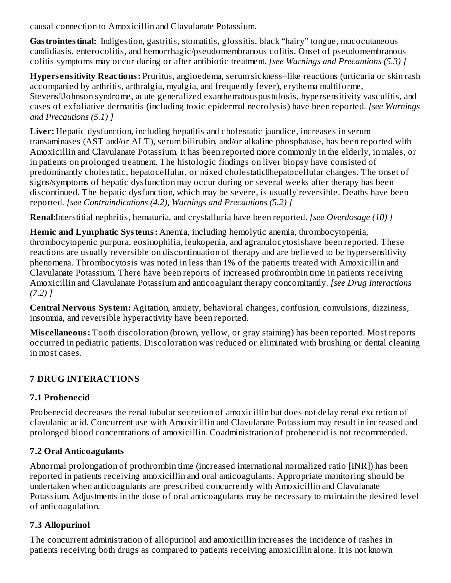causal connection to Amoxicillin and Clavulanate Potassium.

Gastrointestinal: Indigestion, gastritis, stomatitis, glossitis, black "hairy" tongue, mucocutaneous candidiasis, enterocolitis, and hemorrhagic/pseudomembranous colitis. Onset of pseudomembranous colitis symptoms may occur during or after antibiotic treatment. *[see Warnings and Precautions (5.3) ]*

**Hypers ensitivity Reactions:** Pruritus, angioedema, serum sickness–like reactions (urticaria or skin rash accompanied by arthritis, arthralgia, myalgia, and frequently fever), erythema multiforme, Stevens[Johnson syndrome, acute generalized exanthematouspustulosis, hypersensitivity vasculitis, and cases of exfoliative dermatitis (including toxic epidermal necrolysis) have been reported. *[see Warnings and Precautions (5.1) ]*

Liver: Hepatic dysfunction, including hepatitis and cholestatic jaundice, increases in serum transaminases (AST and/or ALT), serum bilirubin, and/or alkaline phosphatase, has been reported with Amoxicillin and Clavulanate Potassium. It has been reported more commonly in the elderly, in males, or in patients on prolonged treatment. The histologic findings on liver biopsy have consisted of predominantly cholestatic, hepatocellular, or mixed cholestaticllhepatocellular changes. The onset of signs/symptoms of hepatic dysfunction may occur during or several weeks after therapy has been discontinued. The hepatic dysfunction, which may be severe, is usually reversible. Deaths have been reported. *[see Contraindications (4.2), Warnings and Precautions (5.2) ]*

**Renal:**Interstitial nephritis, hematuria, and crystalluria have been reported. *[see Overdosage (10) ]*

**Hemic and Lymphatic Systems:** Anemia, including hemolytic anemia, thrombocytopenia, thrombocytopenic purpura, eosinophilia, leukopenia, and agranulocytosishave been reported. These reactions are usually reversible on discontinuation of therapy and are believed to be hypersensitivity phenomena. Thrombocytosis was noted in less than 1% of the patients treated with Amoxicillin and Clavulanate Potassium. There have been reports of increased prothrombin time in patients receiving Amoxicillin and Clavulanate Potassium and anticoagulant therapy concomitantly. *[see Drug Interactions (7.2) ]*

**Central Nervous System:** Agitation, anxiety, behavioral changes, confusion, convulsions, dizziness, insomnia, and reversible hyperactivity have been reported.

**Mis cellaneous:** Tooth discoloration (brown, yellow, or gray staining) has been reported. Most reports occurred in pediatric patients. Discoloration was reduced or eliminated with brushing or dental cleaning in most cases.

## **7 DRUG INTERACTIONS**

## **7.1 Probenecid**

Probenecid decreases the renal tubular secretion of amoxicillin but does not delay renal excretion of clavulanic acid. Concurrent use with Amoxicillin and Clavulanate Potassium may result in increased and prolonged blood concentrations of amoxicillin. Coadministration of probenecid is not recommended.

## **7.2 Oral Anticoagulants**

Abnormal prolongation of prothrombin time (increased international normalized ratio [INR]) has been reported in patients receiving amoxicillin and oral anticoagulants. Appropriate monitoring should be undertaken when anticoagulants are prescribed concurrently with Amoxicillin and Clavulanate Potassium. Adjustments in the dose of oral anticoagulants may be necessary to maintain the desired level of anticoagulation.

## **7.3 Allopurinol**

The concurrent administration of allopurinol and amoxicillin increases the incidence of rashes in patients receiving both drugs as compared to patients receiving amoxicillin alone. It is not known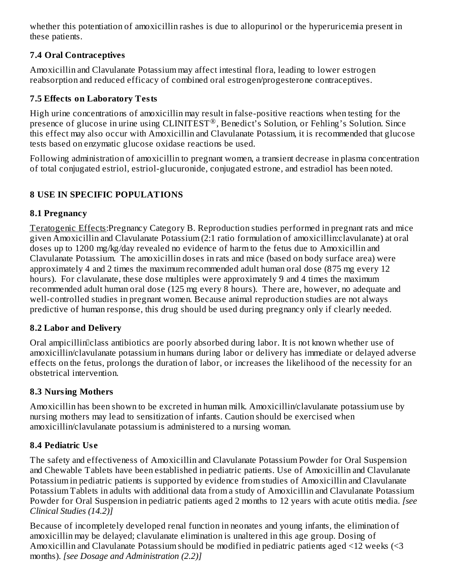whether this potentiation of amoxicillin rashes is due to allopurinol or the hyperuricemia present in these patients.

## **7.4 Oral Contraceptives**

Amoxicillin and Clavulanate Potassium may affect intestinal flora, leading to lower estrogen reabsorption and reduced efficacy of combined oral estrogen/progesterone contraceptives.

## **7.5 Effects on Laboratory Tests**

High urine concentrations of amoxicillin may result in false-positive reactions when testing for the presence of glucose in urine using CLINITEST®, Benedict's Solution, or Fehling's Solution. Since this effect may also occur with Amoxicillin and Clavulanate Potassium, it is recommended that glucose tests based on enzymatic glucose oxidase reactions be used.

Following administration of amoxicillin to pregnant women, a transient decrease in plasma concentration of total conjugated estriol, estriol-glucuronide, conjugated estrone, and estradiol has been noted.

## **8 USE IN SPECIFIC POPULATIONS**

## **8.1 Pregnancy**

Teratogenic Effects:Pregnancy Category B. Reproduction studies performed in pregnant rats and mice given Amoxicillin and Clavulanate Potassium (2:1 ratio formulation of amoxicillin:clavulanate) at oral doses up to 1200 mg/kg/day revealed no evidence of harm to the fetus due to Amoxicillin and Clavulanate Potassium. The amoxicillin doses in rats and mice (based on body surface area) were approximately 4 and 2 times the maximum recommended adult human oral dose (875 mg every 12 hours). For clavulanate, these dose multiples were approximately 9 and 4 times the maximum recommended adult human oral dose (125 mg every 8 hours). There are, however, no adequate and well-controlled studies in pregnant women. Because animal reproduction studies are not always predictive of human response, this drug should be used during pregnancy only if clearly needed.

## **8.2 Labor and Delivery**

Oral ampicillin<sup>c</sup>lass antibiotics are poorly absorbed during labor. It is not known whether use of amoxicillin/clavulanate potassium in humans during labor or delivery has immediate or delayed adverse effects on the fetus, prolongs the duration of labor, or increases the likelihood of the necessity for an obstetrical intervention.

## **8.3 Nursing Mothers**

Amoxicillin has been shown to be excreted in human milk. Amoxicillin/clavulanate potassium use by nursing mothers may lead to sensitization of infants. Caution should be exercised when amoxicillin/clavulanate potassium is administered to a nursing woman.

## **8.4 Pediatric Us e**

The safety and effectiveness of Amoxicillin and Clavulanate Potassium Powder for Oral Suspension and Chewable Tablets have been established in pediatric patients. Use of Amoxicillin and Clavulanate Potassium in pediatric patients is supported by evidence from studies of Amoxicillin and Clavulanate Potassium Tablets in adults with additional data from a study of Amoxicillin and Clavulanate Potassium Powder for Oral Suspension in pediatric patients aged 2 months to 12 years with acute otitis media. *[see Clinical Studies (14.2)]*

Because of incompletely developed renal function in neonates and young infants, the elimination of amoxicillin may be delayed; clavulanate elimination is unaltered in this age group. Dosing of Amoxicillin and Clavulanate Potassium should be modified in pediatric patients aged <12 weeks (<3 months). *[see Dosage and Administration (2.2)]*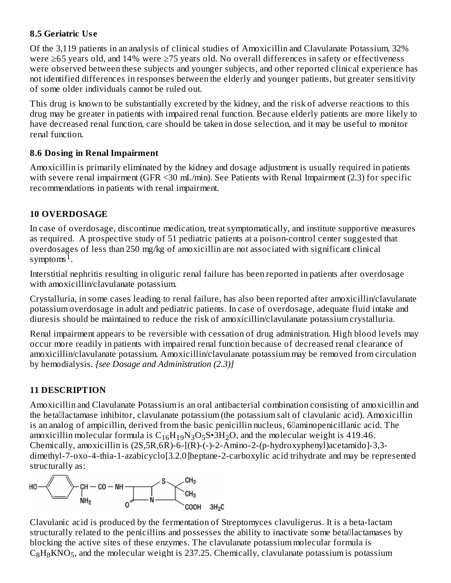## **8.5 Geriatric Us e**

Of the 3,119 patients in an analysis of clinical studies of Amoxicillin and Clavulanate Potassium, 32% were ≥65 years old, and 14% were ≥75 years old. No overall differences in safety or effectiveness were observed between these subjects and younger subjects, and other reported clinical experience has not identified differences in responses between the elderly and younger patients, but greater sensitivity of some older individuals cannot be ruled out.

This drug is known to be substantially excreted by the kidney, and the risk of adverse reactions to this drug may be greater in patients with impaired renal function. Because elderly patients are more likely to have decreased renal function, care should be taken in dose selection, and it may be useful to monitor renal function.

## **8.6 Dosing in Renal Impairment**

Amoxicillin is primarily eliminated by the kidney and dosage adjustment is usually required in patients with severe renal impairment (GFR <30 mL/min). See Patients with Renal Impairment (2.3) for specific recommendations in patients with renal impairment.

## **10 OVERDOSAGE**

In case of overdosage, discontinue medication, treat symptomatically, and institute supportive measures as required. A prospective study of 51 pediatric patients at a poison-control center suggested that overdosages of less than 250 mg/kg of amoxicillin are not associated with significant clinical symptoms<sup> $1$ </sup>.

Interstitial nephritis resulting in oliguric renal failure has been reported in patients after overdosage with amoxicillin/clavulanate potassium.

Crystalluria, in some cases leading to renal failure, has also been reported after amoxicillin/clavulanate potassium overdosage in adult and pediatric patients. In case of overdosage, adequate fluid intake and diuresis should be maintained to reduce the risk of amoxicillin/clavulanate potassium crystalluria.

Renal impairment appears to be reversible with cessation of drug administration. High blood levels may occur more readily in patients with impaired renal function because of decreased renal clearance of amoxicillin/clavulanate potassium. Amoxicillin/clavulanate potassium may be removed from circulation by hemodialysis*. [see Dosage and Administration (2.3)]*

## **11 DESCRIPTION**

Amoxicillin and Clavulanate Potassium is an oral antibacterial combination consisting of amoxicillin and the betalactamase inhibitor, clavulanate potassium (the potassium salt of clavulanic acid). Amoxicillin is an analog of ampicillin, derived from the basic penicillin nucleus, 6D aminopenicillanic acid. The amoxicillin molecular formula is  $\rm C_{16}H_{19}N_3O_5S{\bullet}3H_2O$ , and the molecular weight is 419.46. Chemically, amoxicillin is (2S,5R,6R)-6-[(R)-(-)-2-Amino-2-(p-hydroxyphenyl)acetamido]-3,3 dimethyl-7-oxo-4-thia-1-azabicyclo[3.2.0]heptane-2-carboxylic acid trihydrate and may be represented structurally as:



Clavulanic acid is produced by the fermentation of Streptomyces clavuligerus. It is a beta-lactam structurally related to the penicillins and possesses the ability to inactivate some betallactamases by blocking the active sites of these enzymes. The clavulanate potassium molecular formula is  $C_8H_8KNO_5$ , and the molecular weight is 237.25. Chemically, clavulanate potassium is potassium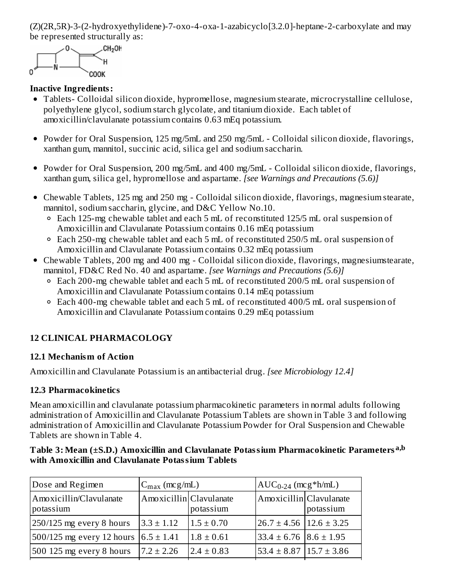(Z)(2R,5R)-3-(2-hydroxyethylidene)-7-oxo-4-oxa-1-azabicyclo[3.2.0]-heptane-2-carboxylate and may be represented structurally as: 8 8 5 5 5



### **Inactive Ingredients:**

- Tablets- Colloidal silicon dioxide, hypromellose, magnesium stearate, microcrystalline cellulose, polyethylene glycol, sodium starch glycolate, and titanium dioxide. Each tablet of amoxicillin/clavulanate potassium contains 0.63 mEq potassium.
- Powder for Oral Suspension, 125 mg/5mL and 250 mg/5mL Colloidal silicon dioxide, flavorings, xanthan gum, mannitol, succinic acid, silica gel and sodium saccharin.
- Powder for Oral Suspension, 200 mg/5mL and 400 mg/5mL Colloidal silicon dioxide, flavorings, xanthan gum, silica gel, hypromellose and aspartame. *[see Warnings and Precautions (5.6)]*
- Chewable Tablets, 125 mg and 250 mg Colloidal silicon dioxide, flavorings, magnesium stearate, mannitol, sodium saccharin, glycine, and D&C Yellow No.10.
	- Each 125-mg chewable tablet and each 5 mL of reconstituted 125/5 mL oral suspension of Amoxicillin and Clavulanate Potassium contains 0.16 mEq potassium
	- Each 250-mg chewable tablet and each 5 mL of reconstituted 250/5 mL oral suspension of Amoxicillin and Clavulanate Potassium contains 0.32 mEq potassium
- Chewable Tablets, 200 mg and 400 mg Colloidal silicon dioxide, flavorings, magnesiumstearate, mannitol, FD&C Red No. 40 and aspartame. *[see Warnings and Precautions (5.6)]*
	- $\degree$  Each 200-mg chewable tablet and each 5 mL of reconstituted 200/5 mL oral suspension of Amoxicillin and Clavulanate Potassium contains 0.14 mEq potassium
	- Each 400-mg chewable tablet and each 5 mL of reconstituted 400/5 mL oral suspension of Amoxicillin and Clavulanate Potassium contains 0.29 mEq potassium

## **12 CLINICAL PHARMACOLOGY**

### **12.1 Mechanism of Action**

Amoxicillin and Clavulanate Potassium is an antibacterial drug. *[see Microbiology 12.4]*

## **12.3 Pharmacokinetics**

Mean amoxicillin and clavulanate potassium pharmacokinetic parameters in normal adults following administration of Amoxicillin and Clavulanate Potassium Tablets are shown in Table 3 and following administration of Amoxicillin and Clavulanate Potassium Powder for Oral Suspension and Chewable Tablets are shown in Table 4.

#### **Table 3: Mean (±S.D.) Amoxicillin and Clavulanate Potassium Pharmacokinetic Parameters a,b with Amoxicillin and Clavulanate Potassium Tablets**

| Dose and Regimen                     | $C_{\text{max}}$ (mcg/mL) |                | $AUC_{0-24}$ (mcg*h/mL)           |           |  |
|--------------------------------------|---------------------------|----------------|-----------------------------------|-----------|--|
| Amoxicillin/Clavulanate<br>potassium | Amoxicillin Clavulanate   | potassium      | Amoxicillin Clavulanate           | potassium |  |
| $250/125$ mg every 8 hours           | $3.3 \pm 1.12$            | $1.5 \pm 0.70$ | $26.7 \pm 4.56$   12.6 $\pm$ 3.25 |           |  |
| $500/125$ mg every 12 hours          | $6.5 \pm 1.41$            | $1.8 \pm 0.61$ | $33.4 \pm 6.76$ $8.6 \pm 1.95$    |           |  |
| 500 125 mg every 8 hours             | $7.2 \pm 2.26$            | $2.4 \pm 0.83$ | $53.4 \pm 8.87$ 15.7 $\pm$ 3.86   |           |  |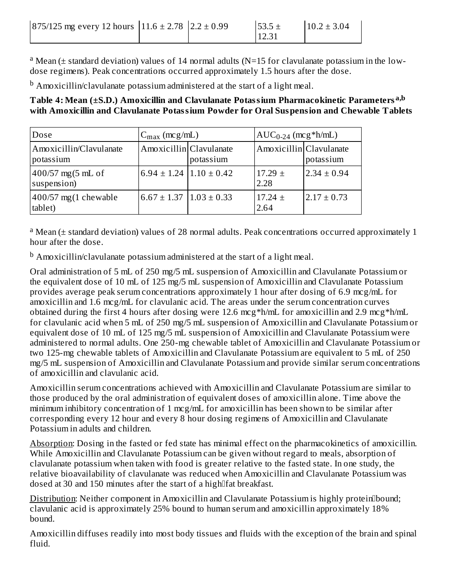| $ 875/125 \text{ mg}$ every 12 hours $ 11.6 \pm 2.78  2.2 \pm 0.99$ |  | $53.5 \pm$ | $10.2 \pm 3.04$ |
|---------------------------------------------------------------------|--|------------|-----------------|
|                                                                     |  | 12.31      |                 |

<sup>a</sup> Mean (± standard deviation) values of 14 normal adults (N=15 for clavulanate potassium in the lowdose regimens). Peak concentrations occurred approximately 1.5 hours after the dose.

 $^{\rm b}$  Amoxicillin/clavulanate potassium administered at the start of a light meal.

**Table 4: Mean (±S.D.) Amoxicillin and Clavulanate Potassium Pharmacokinetic Parameters a,b with Amoxicillin and Clavulanate Potassium Powder for Oral Suspension and Chewable Tablets**

| Dose                                 | $C_{\text{max}}$ (mcg/mL)                   |           |                         | $AUC_{0-24}$ (mcg*h/mL) |  |  |
|--------------------------------------|---------------------------------------------|-----------|-------------------------|-------------------------|--|--|
| Amoxicillin/Clavulanate<br>potassium | Amoxicillin Clavulanate                     | potassium | Amoxicillin Clavulanate | potassium               |  |  |
| $400/57$ mg(5 mL of<br>suspension)   | $6.94 \pm 1.24$   $1.10 \pm 0.42$           |           | $17.29 \pm$<br>2.28     | $2.34 \pm 0.94$         |  |  |
| $400/57$ mg(1 chewable<br>tablet)    | $6.67 \pm 1.37$ $\vert 1.03 \pm 0.33 \vert$ |           | $17.24 \pm$<br>2.64     | $2.17 \pm 0.73$         |  |  |

<sup>a</sup> Mean (± standard deviation) values of 28 normal adults. Peak concentrations occurred approximately 1 hour after the dose.

 $^{\rm b}$  Amoxicillin/clavulanate potassium administered at the start of a light meal.

Oral administration of 5 mL of 250 mg/5 mL suspension of Amoxicillin and Clavulanate Potassium or the equivalent dose of 10 mL of 125 mg/5 mL suspension of Amoxicillin and Clavulanate Potassium provides average peak serum concentrations approximately 1 hour after dosing of 6.9 mcg/mL for amoxicillin and 1.6 mcg/mL for clavulanic acid. The areas under the serum concentration curves obtained during the first 4 hours after dosing were 12.6 mcg\*h/mL for amoxicillin and 2.9 mcg\*h/mL for clavulanic acid when 5 mL of 250 mg/5 mL suspension of Amoxicillin and Clavulanate Potassium or equivalent dose of 10 mL of 125 mg/5 mL suspension of Amoxicillin and Clavulanate Potassium were administered to normal adults. One 250-mg chewable tablet of Amoxicillin and Clavulanate Potassium or two 125-mg chewable tablets of Amoxicillin and Clavulanate Potassium are equivalent to 5 mL of 250 mg/5 mL suspension of Amoxicillin and Clavulanate Potassium and provide similar serum concentrations of amoxicillin and clavulanic acid.

Amoxicillin serum concentrations achieved with Amoxicillin and Clavulanate Potassium are similar to those produced by the oral administration of equivalent doses of amoxicillin alone. Time above the minimum inhibitory concentration of 1 mcg/mL for amoxicillin has been shown to be similar after corresponding every 12 hour and every 8 hour dosing regimens of Amoxicillin and Clavulanate Potassium in adults and children.

Absorption: Dosing in the fasted or fed state has minimal effect on the pharmacokinetics of amoxicillin. While Amoxicillin and Clavulanate Potassium can be given without regard to meals, absorption of clavulanate potassium when taken with food is greater relative to the fasted state. In one study, the relative bioavailability of clavulanate was reduced when Amoxicillin and Clavulanate Potassium was dosed at 30 and 150 minutes after the start of a highletat breakfast.

Distribution: Neither component in Amoxicillin and Clavulanate Potassium is highly proteinbound; clavulanic acid is approximately 25% bound to human serum and amoxicillin approximately 18% bound.

Amoxicillin diffuses readily into most body tissues and fluids with the exception of the brain and spinal fluid.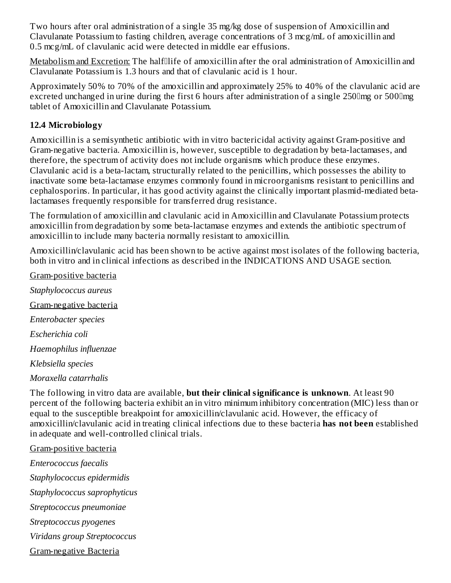Two hours after oral administration of a single 35 mg/kg dose of suspension of Amoxicillin and Clavulanate Potassium to fasting children, average concentrations of 3 mcg/mL of amoxicillin and 0.5 mcg/mL of clavulanic acid were detected in middle ear effusions.

Metabolism and Excretion: The halflife of amoxicillin after the oral administration of Amoxicillin and Clavulanate Potassium is 1.3 hours and that of clavulanic acid is 1 hour.

Approximately 50% to 70% of the amoxicillin and approximately 25% to 40% of the clavulanic acid are excreted unchanged in urine during the first 6 hours after administration of a single 250 lmg or 500 lmg tablet of Amoxicillin and Clavulanate Potassium.

## **12.4 Microbiology**

Amoxicillin is a semisynthetic antibiotic with in vitro bactericidal activity against Gram-positive and Gram-negative bacteria. Amoxicillin is, however, susceptible to degradation by beta-lactamases, and therefore, the spectrum of activity does not include organisms which produce these enzymes. Clavulanic acid is a beta-lactam, structurally related to the penicillins, which possesses the ability to inactivate some beta-lactamase enzymes commonly found in microorganisms resistant to penicillins and cephalosporins. In particular, it has good activity against the clinically important plasmid-mediated betalactamases frequently responsible for transferred drug resistance.

The formulation of amoxicillin and clavulanic acid in Amoxicillin and Clavulanate Potassium protects amoxicillin from degradation by some beta-lactamase enzymes and extends the antibiotic spectrum of amoxicillin to include many bacteria normally resistant to amoxicillin.

Amoxicillin/clavulanic acid has been shown to be active against most isolates of the following bacteria, both in vitro and in clinical infections as described in the INDICATIONS AND USAGE section.

Gram-positive bacteria *Staphylococcus aureus* Gram-negative bacteria *Enterobacter species Escherichia coli Haemophilus influenzae Klebsiella species*

*Moraxella catarrhalis*

The following in vitro data are available, **but their clinical significance is unknown**. At least 90 percent of the following bacteria exhibit an in vitro minimum inhibitory concentration (MIC) less than or equal to the susceptible breakpoint for amoxicillin/clavulanic acid. However, the efficacy of amoxicillin/clavulanic acid in treating clinical infections due to these bacteria **has not been** established in adequate and well-controlled clinical trials.

Gram-positive bacteria *Enterococcus faecalis Staphylococcus epidermidis Staphylococcus saprophyticus Streptococcus pneumoniae Streptococcus pyogenes Viridans group Streptococcus* Gram-negative Bacteria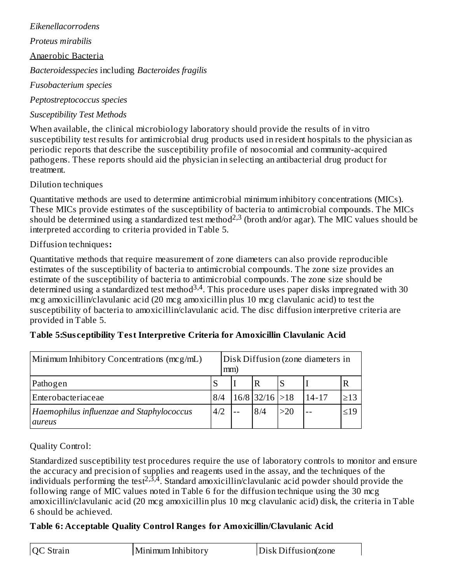*Eikenellacorrodens Proteus mirabilis* Anaerobic Bacteria *Bacteroidesspecies* including *Bacteroides fragilis Fusobacterium species Peptostreptococcus species Susceptibility Test Methods*

When available, the clinical microbiology laboratory should provide the results of in vitro susceptibility test results for antimicrobial drug products used in resident hospitals to the physician as periodic reports that describe the susceptibility profile of nosocomial and community-acquired pathogens. These reports should aid the physician in selecting an antibacterial drug product for treatment.

Dilution techniques

Quantitative methods are used to determine antimicrobial minimum inhibitory concentrations (MICs). These MICs provide estimates of the susceptibility of bacteria to antimicrobial compounds. The MICs should be determined using a standardized test method<sup>2,3</sup> (broth and/or agar). The MIC values should be interpreted according to criteria provided in Table 5.

## Diffusion techniques**:**

Quantitative methods that require measurement of zone diameters can also provide reproducible estimates of the susceptibility of bacteria to antimicrobial compounds. The zone size provides an estimate of the susceptibility of bacteria to antimicrobial compounds. The zone size should be determined using a standardized test method<sup>3,4</sup>. This procedure uses paper disks impregnated with 30 mcg amoxicillin/clavulanic acid (20 mcg amoxicillin plus 10 mcg clavulanic acid) to test the susceptibility of bacteria to amoxicillin/clavulanic acid. The disc diffusion interpretive criteria are provided in Table 5.

| Minimum Inhibitory Concentrations (mcg/mL)                 |     |  | Disk Diffusion (zone diameters in<br>mm) |                   |     |           |           |
|------------------------------------------------------------|-----|--|------------------------------------------|-------------------|-----|-----------|-----------|
| Pathogen                                                   |     |  |                                          | $\mathbf R$       |     |           |           |
| Enterobacteriaceae                                         | 8/4 |  |                                          | $16/8$ 32/16 > 18 |     | $14 - 17$ | $\geq$ 13 |
| Haemophilus influenzae and Staphylococcus<br><b>aureus</b> | 4/2 |  |                                          | 8/4               | >20 |           | $\leq$ 19 |

## **Table 5:Sus ceptibility Test Interpretive Criteria for Amoxicillin Clavulanic Acid**

Quality Control:

Standardized susceptibility test procedures require the use of laboratory controls to monitor and ensure the accuracy and precision of supplies and reagents used in the assay, and the techniques of the individuals performing the test<sup>2,3,4</sup>. Standard amoxicillin/clavulanic acid powder should provide the following range of MIC values noted in Table 6 for the diffusion technique using the 30 mcg amoxicillin/clavulanic acid (20 mcg amoxicillin plus 10 mcg clavulanic acid) disk, the criteria in Table 6 should be achieved.

## **Table 6: Acceptable Quality Control Ranges for Amoxicillin/Clavulanic Acid**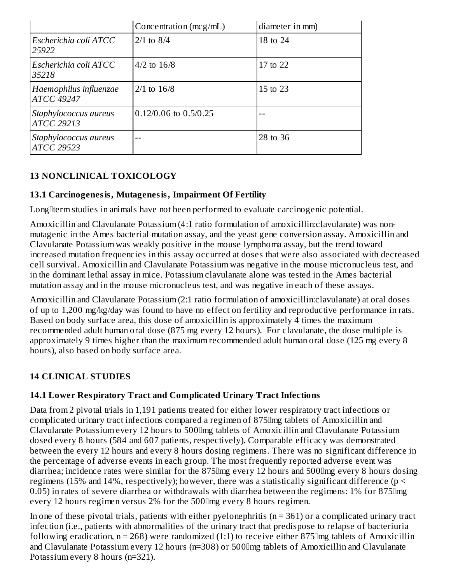|                                             | Concentration $(mcg/mL)$ | diameter in mm) |  |
|---------------------------------------------|--------------------------|-----------------|--|
| Escherichia coli ATCC<br>25922              | $2/1$ to $8/4$           | 18 to 24        |  |
| Escherichia coli ATCC<br>35218              | $4/2$ to $16/8$          | 17 to 22        |  |
| Haemophilus influenzae<br><b>ATCC 49247</b> | $2/1$ to $16/8$          | 15 to 23        |  |
| Staphylococcus aureus<br><b>ATCC 29213</b>  | 0.12/0.06 to 0.5/0.25    |                 |  |
| Staphylococcus aureus<br><b>ATCC 29523</b>  | --                       | 28 to 36        |  |

## **13 NONCLINICAL TOXICOLOGY**

## **13.1 Carcinogenesis, Mutagenesis, Impairment Of Fertility**

Long $\alpha$  term studies in animals have not been performed to evaluate carcinogenic potential.

Amoxicillin and Clavulanate Potassium (4:1 ratio formulation of amoxicillin:clavulanate) was nonmutagenic in the Ames bacterial mutation assay, and the yeast gene conversion assay. Amoxicillin and Clavulanate Potassium was weakly positive in the mouse lymphoma assay, but the trend toward increased mutation frequencies in this assay occurred at doses that were also associated with decreased cell survival. Amoxicillin and Clavulanate Potassium was negative in the mouse micronucleus test, and in the dominant lethal assay in mice. Potassium clavulanate alone was tested in the Ames bacterial mutation assay and in the mouse micronucleus test, and was negative in each of these assays.

Amoxicillin and Clavulanate Potassium (2:1 ratio formulation of amoxicillin:clavulanate) at oral doses of up to 1,200 mg/kg/day was found to have no effect on fertility and reproductive performance in rats. Based on body surface area, this dose of amoxicillin is approximately 4 times the maximum recommended adult human oral dose (875 mg every 12 hours). For clavulanate, the dose multiple is approximately 9 times higher than the maximum recommended adult human oral dose (125 mg every 8 hours), also based on body surface area.

## **14 CLINICAL STUDIES**

## **14.1 Lower Respiratory Tract and Complicated Urinary Tract Infections**

Data from 2 pivotal trials in 1,191 patients treated for either lower respiratory tract infections or complicated urinary tract infections compared a regimen of 875mg tablets of Amoxicillin and Clavulanate Potassium every 12 hours to 500mg tablets of Amoxicillin and Clavulanate Potassium dosed every 8 hours (584 and 607 patients, respectively). Comparable efficacy was demonstrated between the every 12 hours and every 8 hours dosing regimens. There was no significant difference in the percentage of adverse events in each group. The most frequently reported adverse event was diarrhea; incidence rates were similar for the 875 lmg every 12 hours and 500 lmg every 8 hours dosing regimens (15% and 14%, respectively); however, there was a statistically significant difference ( $p <$ 0.05) in rates of severe diarrhea or withdrawals with diarrhea between the regimens: 1% for 875 lmg every 12 hours regimen versus 2% for the 500 lmg every 8 hours regimen.

In one of these pivotal trials, patients with either pyelonephritis  $(n = 361)$  or a complicated urinary tract infection (i.e., patients with abnormalities of the urinary tract that predispose to relapse of bacteriuria following eradication,  $n = 268$ ) were randomized (1:1) to receive either 875 lmg tablets of Amoxicillin and Clavulanate Potassium every 12 hours (n=308) or 500 lmg tablets of Amoxicillin and Clavulanate Potassium every 8 hours (n=321).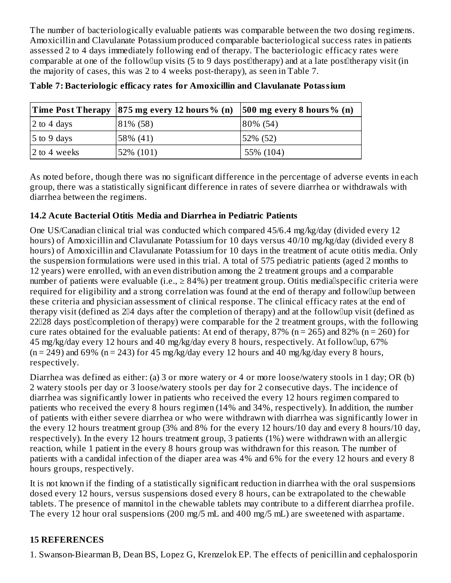The number of bacteriologically evaluable patients was comparable between the two dosing regimens. Amoxicillin and Clavulanate Potassium produced comparable bacteriological success rates in patients assessed 2 to 4 days immediately following end of therapy. The bacteriologic efficacy rates were comparable at one of the follow up visits (5 to 9 days post therapy) and at a late post therapy visit (in the majority of cases, this was 2 to 4 weeks post-therapy), as seen in Table 7.

|              | Time Post Therapy   875 mg every 12 hours % (n) | $ 500 \text{ mg}$ every 8 hours % (n) |
|--------------|-------------------------------------------------|---------------------------------------|
| 2 to 4 days  | 81% (58)                                        | 80% (54)                              |
| 5 to 9 days  | 58% (41)                                        | 52% (52)                              |
| 2 to 4 weeks | 52% (101)                                       | 55% (104)                             |

**Table 7: Bacteriologic efficacy rates for Amoxicillin and Clavulanate Potassium**

As noted before, though there was no significant difference in the percentage of adverse events in each group, there was a statistically significant difference in rates of severe diarrhea or withdrawals with diarrhea between the regimens.

## **14.2 Acute Bacterial Otitis Media and Diarrhea in Pediatric Patients**

One US/Canadian clinical trial was conducted which compared 45/6.4 mg/kg/day (divided every 12 hours) of Amoxicillin and Clavulanate Potassium for 10 days versus 40/10 mg/kg/day (divided every 8 hours) of Amoxicillin and Clavulanate Potassium for 10 days in the treatment of acute otitis media. Only the suspension formulations were used in this trial. A total of 575 pediatric patients (aged 2 months to 12 years) were enrolled, with an even distribution among the 2 treatment groups and a comparable number of patients were evaluable (i.e.,  $\geq 84\%$ ) per treatment group. Otitis medialspecific criteria were required for eligibility and a strong correlation was found at the end of therapy and followlup between these criteria and physician assessment of clinical response. The clinical efficacy rates at the end of therapy visit (defined as  $2\text{I}4$  days after the completion of therapy) and at the follow $\text{I}$ up visit (defined as 22028 days post0completion of therapy) were comparable for the 2 treatment groups, with the following cure rates obtained for the evaluable patients: At end of therapy,  $87\%$  (n = 265) and  $82\%$  (n = 260) for 45 mg/kg/day every 12 hours and 40 mg/kg/day every 8 hours, respectively. At followup, 67%  $(n = 249)$  and 69%  $(n = 243)$  for 45 mg/kg/day every 12 hours and 40 mg/kg/day every 8 hours, respectively.

Diarrhea was defined as either: (a) 3 or more watery or 4 or more loose/watery stools in 1 day; OR (b) 2 watery stools per day or 3 loose/watery stools per day for 2 consecutive days. The incidence of diarrhea was significantly lower in patients who received the every 12 hours regimen compared to patients who received the every 8 hours regimen (14% and 34%, respectively). In addition, the number of patients with either severe diarrhea or who were withdrawn with diarrhea was significantly lower in the every 12 hours treatment group (3% and 8% for the every 12 hours/10 day and every 8 hours/10 day, respectively). In the every 12 hours treatment group, 3 patients (1%) were withdrawn with an allergic reaction, while 1 patient in the every 8 hours group was withdrawn for this reason. The number of patients with a candidal infection of the diaper area was 4% and 6% for the every 12 hours and every 8 hours groups, respectively.

It is not known if the finding of a statistically significant reduction in diarrhea with the oral suspensions dosed every 12 hours, versus suspensions dosed every 8 hours, can be extrapolated to the chewable tablets. The presence of mannitol in the chewable tablets may contribute to a different diarrhea profile. The every 12 hour oral suspensions (200 mg/5 mL and 400 mg/5 mL) are sweetened with aspartame.

## **15 REFERENCES**

1. Swanson-Biearman B, Dean BS, Lopez G, Krenzelok EP. The effects of penicillin and cephalosporin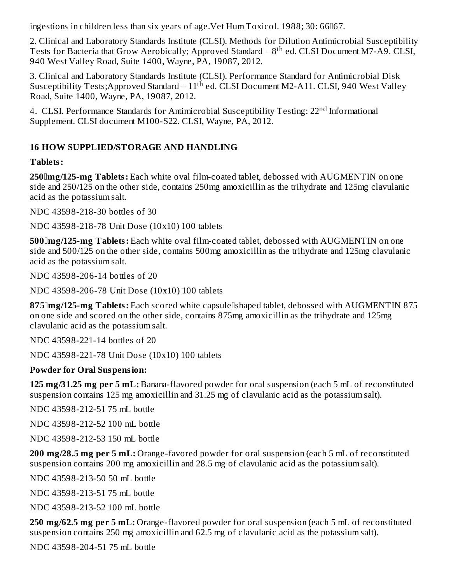ingestions in children less than six years of age. Vet Hum Toxicol. 1988; 30: 66067.

2. Clinical and Laboratory Standards Institute (CLSI). Methods for Dilution Antimicrobial Susceptibility Tests for Bacteria that Grow Aerobically; Approved Standard –  $8^{\text{th}}$  ed. CLSI Document M7-A9. CLSI, 940 West Valley Road, Suite 1400, Wayne, PA, 19087, 2012.

3. Clinical and Laboratory Standards Institute (CLSI). Performance Standard for Antimicrobial Disk Susceptibility Tests; Approved Standard –  $11^{\text{th}}$  ed. CLSI Document M2-A11. CLSI, 940 West Valley Road, Suite 1400, Wayne, PA, 19087, 2012.

4. CLSI. Performance Standards for Antimicrobial Susceptibility Testing: 22<sup>nd</sup> Informational Supplement. CLSI document M100-S22. CLSI, Wayne, PA, 2012.

## **16 HOW SUPPLIED/STORAGE AND HANDLING**

### **Tablets:**

**250mg/125-mg Tablets:** Each white oval film-coated tablet, debossed with AUGMENTIN on one side and 250/125 on the other side, contains 250mg amoxicillin as the trihydrate and 125mg clavulanic acid as the potassium salt.

NDC 43598-218-30 bottles of 30

NDC 43598-218-78 Unit Dose (10x10) 100 tablets

**500mg/125-mg Tablets:** Each white oval film-coated tablet, debossed with AUGMENTIN on one side and 500/125 on the other side, contains 500mg amoxicillin as the trihydrate and 125mg clavulanic acid as the potassium salt.

NDC 43598-206-14 bottles of 20

NDC 43598-206-78 Unit Dose (10x10) 100 tablets

875 Img/125-mg Tablets: Each scored white capsule Ishaped tablet, debossed with AUGMENTIN 875 on one side and scored on the other side, contains 875mg amoxicillin as the trihydrate and 125mg clavulanic acid as the potassium salt.

NDC 43598-221-14 bottles of 20

NDC 43598-221-78 Unit Dose (10x10) 100 tablets

### **Powder for Oral Suspension:**

**125 mg/31.25 mg per 5 mL:** Banana-flavored powder for oral suspension (each 5 mL of reconstituted suspension contains 125 mg amoxicillin and 31.25 mg of clavulanic acid as the potassium salt).

NDC 43598-212-51 75 mL bottle

NDC 43598-212-52 100 mL bottle

NDC 43598-212-53 150 mL bottle

**200 mg/28.5 mg per 5 mL:** Orange-favored powder for oral suspension (each 5 mL of reconstituted suspension contains 200 mg amoxicillin and 28.5 mg of clavulanic acid as the potassium salt).

NDC 43598-213-50 50 mL bottle

NDC 43598-213-51 75 mL bottle

NDC 43598-213-52 100 mL bottle

**250 mg/62.5 mg per 5 mL:** Orange-flavored powder for oral suspension (each 5 mL of reconstituted suspension contains 250 mg amoxicillin and 62.5 mg of clavulanic acid as the potassium salt).

NDC 43598-204-51 75 mL bottle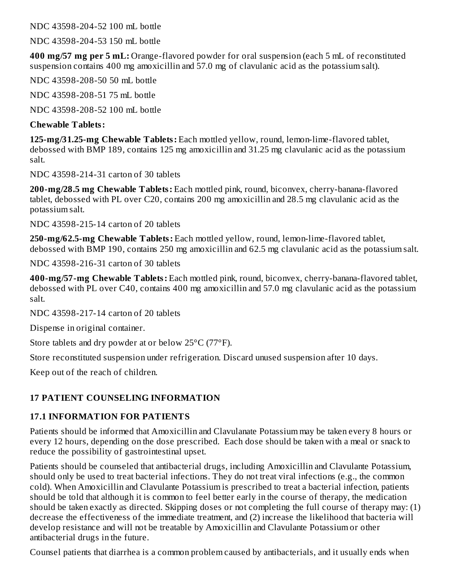NDC 43598-204-52 100 mL bottle

NDC 43598-204-53 150 mL bottle

**400 mg/57 mg per 5 mL:** Orange-flavored powder for oral suspension (each 5 mL of reconstituted suspension contains 400 mg amoxicillin and 57.0 mg of clavulanic acid as the potassium salt).

NDC 43598-208-50 50 mL bottle

NDC 43598-208-51 75 mL bottle

NDC 43598-208-52 100 mL bottle

### **Chewable Tablets:**

**125-mg/31.25-mg Chewable Tablets:** Each mottled yellow, round, lemon-lime-flavored tablet, debossed with BMP 189, contains 125 mg amoxicillin and 31.25 mg clavulanic acid as the potassium salt.

NDC 43598-214-31 carton of 30 tablets

**200-mg/28.5 mg Chewable Tablets:** Each mottled pink, round, biconvex, cherry-banana-flavored tablet, debossed with PL over C20, contains 200 mg amoxicillin and 28.5 mg clavulanic acid as the potassium salt.

NDC 43598-215-14 carton of 20 tablets

**250-mg/62.5-mg Chewable Tablets:** Each mottled yellow, round, lemon-lime-flavored tablet, debossed with BMP 190, contains 250 mg amoxicillin and 62.5 mg clavulanic acid as the potassium salt.

NDC 43598-216-31 carton of 30 tablets

**400-mg/57-mg Chewable Tablets:** Each mottled pink, round, biconvex, cherry-banana-flavored tablet, debossed with PL over C40, contains 400 mg amoxicillin and 57.0 mg clavulanic acid as the potassium salt.

NDC 43598-217-14 carton of 20 tablets

Dispense in original container.

Store tablets and dry powder at or below 25°C (77°F).

Store reconstituted suspension under refrigeration. Discard unused suspension after 10 days.

Keep out of the reach of children.

## **17 PATIENT COUNSELING INFORMATION**

## **17.1 INFORMATION FOR PATIENTS**

Patients should be informed that Amoxicillin and Clavulanate Potassium may be taken every 8 hours or every 12 hours, depending on the dose prescribed. Each dose should be taken with a meal or snack to reduce the possibility of gastrointestinal upset.

Patients should be counseled that antibacterial drugs, including Amoxicillin and Clavulante Potassium, should only be used to treat bacterial infections. They do not treat viral infections (e.g., the common cold). When Amoxicillin and Clavulante Potassium is prescribed to treat a bacterial infection, patients should be told that although it is common to feel better early in the course of therapy, the medication should be taken exactly as directed. Skipping doses or not completing the full course of therapy may: (1) decrease the effectiveness of the immediate treatment, and (2) increase the likelihood that bacteria will develop resistance and will not be treatable by Amoxicillin and Clavulante Potassium or other antibacterial drugs in the future.

Counsel patients that diarrhea is a common problem caused by antibacterials, and it usually ends when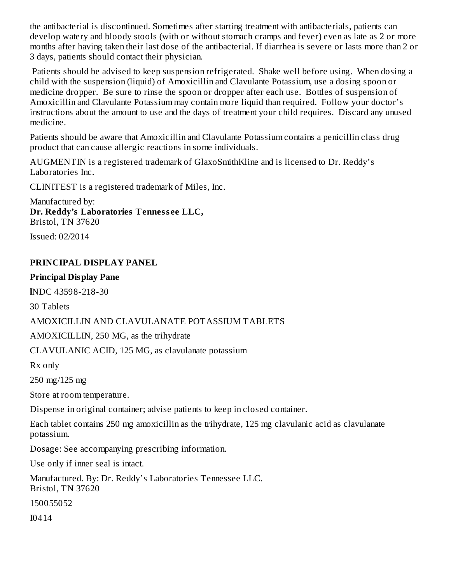the antibacterial is discontinued. Sometimes after starting treatment with antibacterials, patients can develop watery and bloody stools (with or without stomach cramps and fever) even as late as 2 or more months after having taken their last dose of the antibacterial. If diarrhea is severe or lasts more than 2 or 3 days, patients should contact their physician.

Patients should be advised to keep suspension refrigerated. Shake well before using. When dosing a child with the suspension (liquid) of Amoxicillin and Clavulante Potassium, use a dosing spoon or medicine dropper. Be sure to rinse the spoon or dropper after each use. Bottles of suspension of Amoxicillin and Clavulante Potassium may contain more liquid than required. Follow your doctor's instructions about the amount to use and the days of treatment your child requires. Discard any unused medicine.

Patients should be aware that Amoxicillin and Clavulante Potassium contains a penicillin class drug product that can cause allergic reactions in some individuals.

AUGMENTIN is a registered trademark of GlaxoSmithKline and is licensed to Dr. Reddy's Laboratories Inc.

CLINITEST is a registered trademark of Miles, Inc.

Manufactured by: **Dr. Reddy's Laboratories Tenness ee LLC,** Bristol, TN 37620

Issued: 02/2014

## **PRINCIPAL DISPLAY PANEL**

#### **Principal Display Pane**

**l**NDC 43598-218-30

30 Tablets

### AMOXICILLIN AND CLAVULANATE POTASSIUM TABLETS

AMOXICILLIN, 250 MG, as the trihydrate

CLAVULANIC ACID, 125 MG, as clavulanate potassium

Rx only

250 mg/125 mg

Store at room temperature.

Dispense in original container; advise patients to keep in closed container.

Each tablet contains 250 mg amoxicillin as the trihydrate, 125 mg clavulanic acid as clavulanate potassium.

Dosage: See accompanying prescribing information.

Use only if inner seal is intact.

Manufactured. By: Dr. Reddy's Laboratories Tennessee LLC. Bristol, TN 37620

150055052

I0414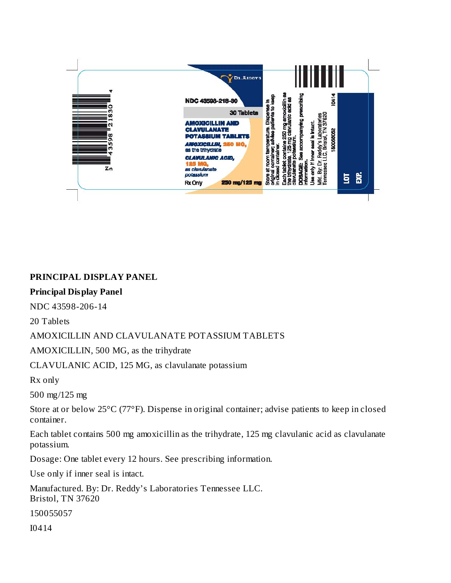

### **PRINCIPAL DISPLAY PANEL**

#### **Principal Display Panel**

NDC 43598-206-14

20 Tablets

#### AMOXICILLIN AND CLAVULANATE POTASSIUM TABLETS

AMOXICILLIN, 500 MG, as the trihydrate

CLAVULANIC ACID, 125 MG, as clavulanate potassium

Rx only

500 mg/125 mg

Store at or below 25°C (77°F). Dispense in original container; advise patients to keep in closed container.

Each tablet contains 500 mg amoxicillin as the trihydrate, 125 mg clavulanic acid as clavulanate potassium.

Dosage: One tablet every 12 hours. See prescribing information.

Use only if inner seal is intact.

Manufactured. By: Dr. Reddy's Laboratories Tennessee LLC. Bristol, TN 37620

150055057

I0414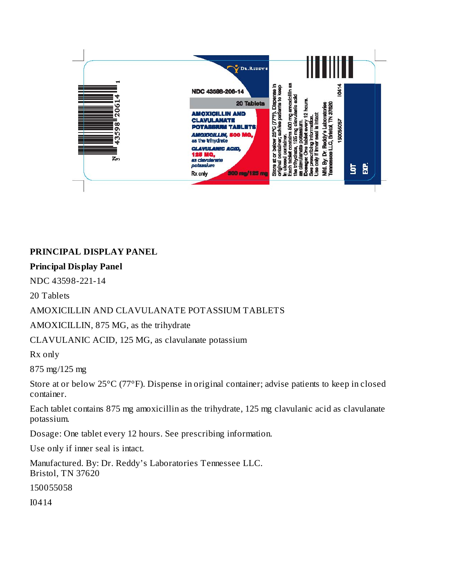

## **PRINCIPAL DISPLAY PANEL**

#### **Principal Display Panel**

NDC 43598-221-14

20 Tablets

### AMOXICILLIN AND CLAVULANATE POTASSIUM TABLETS

AMOXICILLIN, 875 MG, as the trihydrate

CLAVULANIC ACID, 125 MG, as clavulanate potassium

Rx only

875 mg/125 mg

Store at or below 25°C (77°F). Dispense in original container; advise patients to keep in closed container.

Each tablet contains 875 mg amoxicillin as the trihydrate, 125 mg clavulanic acid as clavulanate potassium.

Dosage: One tablet every 12 hours. See prescribing information.

Use only if inner seal is intact.

Manufactured. By: Dr. Reddy's Laboratories Tennessee LLC. Bristol, TN 37620

150055058

I0414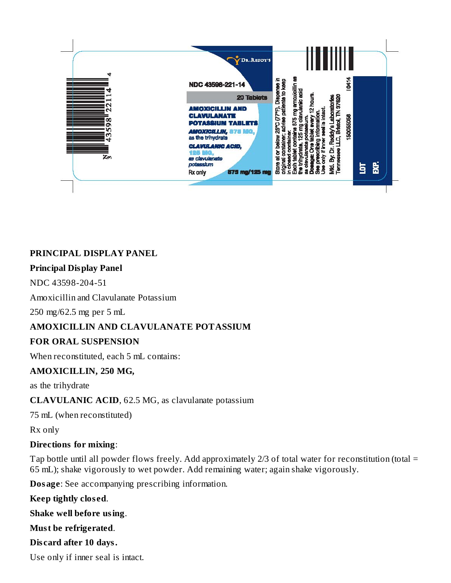

## **PRINCIPAL DISPLAY PANEL**

#### **Principal Display Panel**

NDC 43598-204-51

Amoxicillin and Clavulanate Potassium

250 mg/62.5 mg per 5 mL

### **AMOXICILLIN AND CLAVULANATE POTASSIUM**

### **FOR ORAL SUSPENSION**

When reconstituted, each 5 mL contains:

### **AMOXICILLIN, 250 MG,**

as the trihydrate

### **CLAVULANIC ACID**, 62.5 MG, as clavulanate potassium

75 mL (when reconstituted)

Rx only

### **Directions for mixing**:

Tap bottle until all powder flows freely. Add approximately 2/3 of total water for reconstitution (total = 65 mL); shake vigorously to wet powder. Add remaining water; again shake vigorously.

**Dosage**: See accompanying prescribing information.

**Keep tightly clos ed**.

**Shake well before using**.

**Must be refrigerated**.

**Dis card after 10 days.**

Use only if inner seal is intact.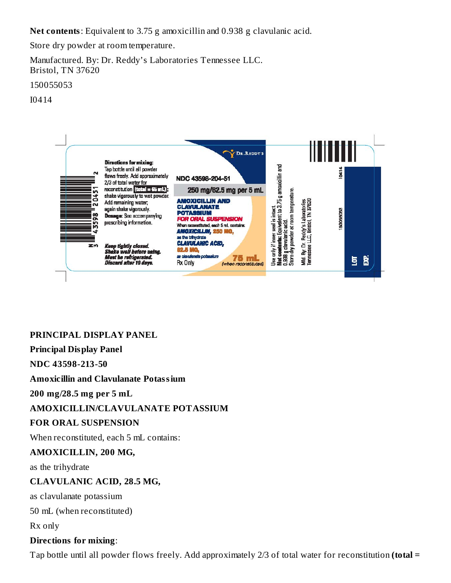**Net contents**: Equivalent to 3.75 g amoxicillin and 0.938 g clavulanic acid.

Store dry powder at room temperature.

Manufactured. By: Dr. Reddy's Laboratories Tennessee LLC. Bristol, TN 37620

150055053

I0414



## **PRINCIPAL DISPLAY PANEL**

### **Principal Display Panel**

**NDC 43598-213-50**

#### **Amoxicillin and Clavulanate Potassium**

**200 mg/28.5 mg per 5 mL**

### **AMOXICILLIN/CLAVULANATE POTASSIUM**

#### **FOR ORAL SUSPENSION**

When reconstituted, each 5 mL contains:

#### **AMOXICILLIN, 200 MG,**

as the trihydrate

### **CLAVULANIC ACID, 28.5 MG,**

as clavulanate potassium

50 mL (when reconstituted)

Rx only

### **Directions for mixing**:

Tap bottle until all powder flows freely. Add approximately 2/3 of total water for reconstitution **(total =**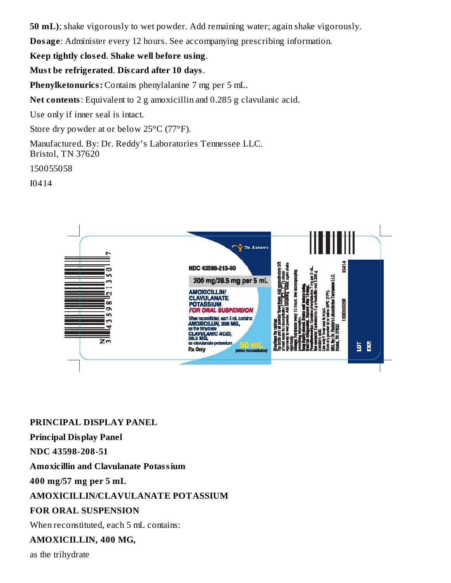**50 mL)**; shake vigorously to wet powder. Add remaining water; again shake vigorously.

**Dosage**: Administer every 12 hours. See accompanying prescribing information.

## **Keep tightly clos ed**. **Shake well before using**.

### **Must be refrigerated**. **Dis card after 10 days**.

**Phenylketonurics:** Contains phenylalanine 7 mg per 5 mL.

**Net contents**: Equivalent to 2 g amoxicillin and 0.285 g clavulanic acid.

Use only if inner seal is intact.

Store dry powder at or below 25°C (77°F).

Manufactured. By: Dr. Reddy's Laboratories Tennessee LLC. Bristol, TN 37620

150055058

I0414



## **PRINCIPAL DISPLAY PANEL**

**Principal Display Panel**

**NDC 43598-208-51**

**Amoxicillin and Clavulanate Potassium**

**400 mg/57 mg per 5 mL**

## **AMOXICILLIN/CLAVULANATE POTASSIUM**

## **FOR ORAL SUSPENSION**

When reconstituted, each 5 mL contains:

### **AMOXICILLIN, 400 MG,**

as the trihydrate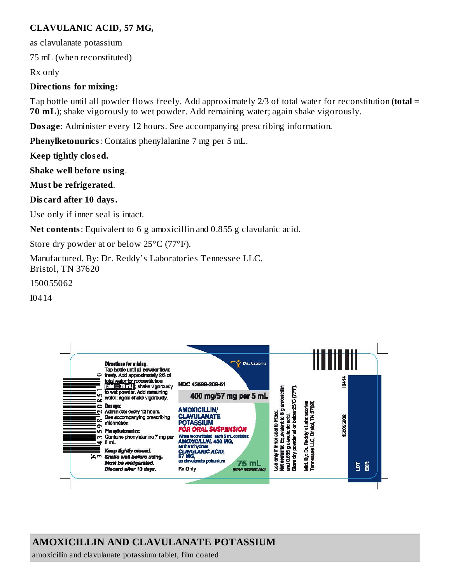## **CLAVULANIC ACID, 57 MG,**

as clavulanate potassium

75 mL (when reconstituted)

Rx only

### **Directions for mixing:**

Tap bottle until all powder flows freely. Add approximately 2/3 of total water for reconstitution (**total = 70 mL**); shake vigorously to wet powder. Add remaining water; again shake vigorously.

**Dosage**: Administer every 12 hours. See accompanying prescribing information.

**Phenylketonurics**: Contains phenylalanine 7 mg per 5 mL.

**Keep tightly clos ed.**

**Shake well before using**.

**Must be refrigerated**.

**Dis card after 10 days.**

Use only if inner seal is intact.

**Net contents**: Equivalent to 6 g amoxicillin and 0.855 g clavulanic acid.

Store dry powder at or below 25°C (77°F).

Manufactured. By: Dr. Reddy's Laboratories Tennessee LLC. Bristol, TN 37620

150055062

I0414



# **AMOXICILLIN AND CLAVULANATE POTASSIUM**

amoxicillin and clavulanate potassium tablet, film coated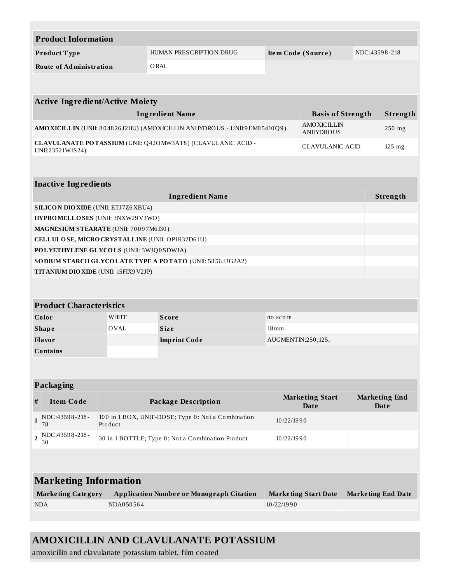|                                                                                                           | <b>Product Information</b>                  |              |                                                                            |                    |                                        |                           |                              |  |  |  |  |
|-----------------------------------------------------------------------------------------------------------|---------------------------------------------|--------------|----------------------------------------------------------------------------|--------------------|----------------------------------------|---------------------------|------------------------------|--|--|--|--|
|                                                                                                           | Product Type                                |              | HUMAN PRESCRIPTION DRUG                                                    | Item Code (Source) |                                        | NDC:43598-218             |                              |  |  |  |  |
|                                                                                                           | <b>Route of Administration</b>              |              | ORAL                                                                       |                    |                                        |                           |                              |  |  |  |  |
|                                                                                                           |                                             |              |                                                                            |                    |                                        |                           |                              |  |  |  |  |
|                                                                                                           |                                             |              |                                                                            |                    |                                        |                           |                              |  |  |  |  |
|                                                                                                           | <b>Active Ingredient/Active Moiety</b>      |              |                                                                            |                    |                                        |                           |                              |  |  |  |  |
|                                                                                                           |                                             |              | <b>Ingredient Name</b>                                                     |                    | <b>Basis of Strength</b>               |                           | Strength                     |  |  |  |  |
|                                                                                                           |                                             |              | AMO XICILLIN (UNII: 804826J2HU) (AMO XICILLIN ANHYDROUS - UNII:9EM05410Q9) |                    | <b>AMOXICILLIN</b><br><b>ANHYDROUS</b> |                           | 250 mg                       |  |  |  |  |
|                                                                                                           | UNII:23521W1S24)                            |              | CLAVULANATE POTASSIUM (UNII: Q420 MW3AT8) (CLAVULANIC ACID -               |                    | <b>CLAVULANIC ACID</b>                 |                           | $125$ mg                     |  |  |  |  |
|                                                                                                           |                                             |              |                                                                            |                    |                                        |                           |                              |  |  |  |  |
|                                                                                                           |                                             |              |                                                                            |                    |                                        |                           |                              |  |  |  |  |
|                                                                                                           | <b>Inactive Ingredients</b>                 |              |                                                                            |                    |                                        |                           |                              |  |  |  |  |
|                                                                                                           |                                             |              | <b>Ingredient Name</b>                                                     |                    |                                        |                           | Strength                     |  |  |  |  |
|                                                                                                           | <b>SILICON DIO XIDE (UNII: ETJ7Z6 XBU4)</b> |              |                                                                            |                    |                                        |                           |                              |  |  |  |  |
|                                                                                                           | HYPROMELLOSES (UNII: 3NXW29V3WO)            |              |                                                                            |                    |                                        |                           |                              |  |  |  |  |
|                                                                                                           | MAGNESIUM STEARATE (UNII: 70097M6I30)       |              |                                                                            |                    |                                        |                           |                              |  |  |  |  |
|                                                                                                           |                                             |              | CELLULOSE, MICRO CRYSTALLINE (UNII: OP1R32D61U)                            |                    |                                        |                           |                              |  |  |  |  |
|                                                                                                           | POLYETHYLENE GLYCOLS (UNII: 3WJQ0SDW1A)     |              |                                                                            |                    |                                        |                           |                              |  |  |  |  |
|                                                                                                           |                                             |              | SODIUM STARCH GLYCOLATE TYPE A POTATO (UNII: 5856J3G2A2)                   |                    |                                        |                           |                              |  |  |  |  |
|                                                                                                           | TITANIUM DIO XIDE (UNII: 15FIX9V2JP)        |              |                                                                            |                    |                                        |                           |                              |  |  |  |  |
|                                                                                                           |                                             |              |                                                                            |                    |                                        |                           |                              |  |  |  |  |
|                                                                                                           | <b>Product Characteristics</b>              |              |                                                                            |                    |                                        |                           |                              |  |  |  |  |
|                                                                                                           | Color                                       | <b>WHITE</b> | <b>Score</b>                                                               | no score           |                                        |                           |                              |  |  |  |  |
|                                                                                                           | <b>Shape</b>                                | <b>OVAL</b>  | <b>Size</b>                                                                | $18 \,\mathrm{mm}$ |                                        |                           |                              |  |  |  |  |
|                                                                                                           | <b>Flavor</b>                               |              | <b>Imprint Code</b>                                                        | AUGMENTIN;250;125; |                                        |                           |                              |  |  |  |  |
|                                                                                                           | Contains                                    |              |                                                                            |                    |                                        |                           |                              |  |  |  |  |
|                                                                                                           |                                             |              |                                                                            |                    |                                        |                           |                              |  |  |  |  |
|                                                                                                           |                                             |              |                                                                            |                    |                                        |                           |                              |  |  |  |  |
|                                                                                                           | Packaging                                   |              |                                                                            |                    |                                        |                           |                              |  |  |  |  |
| #                                                                                                         | <b>Item Code</b>                            |              | <b>Package Description</b>                                                 |                    | <b>Marketing Start</b><br>Date         |                           | <b>Marketing End</b><br>Date |  |  |  |  |
| $\mathbf{1}$                                                                                              | NDC:43598-218-<br>78                        | Product      | 100 in 1 BOX, UNIT-DOSE; Type 0: Not a Combination                         | 10/22/1990         |                                        |                           |                              |  |  |  |  |
| NDC:43598-218-<br>$\overline{2}$<br>30 in 1 BOTTLE; Type 0: Not a Combination Product<br>10/22/1990<br>30 |                                             |              |                                                                            |                    |                                        |                           |                              |  |  |  |  |
|                                                                                                           |                                             |              |                                                                            |                    |                                        |                           |                              |  |  |  |  |
|                                                                                                           |                                             |              |                                                                            |                    |                                        |                           |                              |  |  |  |  |
|                                                                                                           | <b>Marketing Information</b>                |              |                                                                            |                    |                                        |                           |                              |  |  |  |  |
|                                                                                                           | <b>Marketing Category</b>                   |              | <b>Application Number or Monograph Citation</b>                            |                    | <b>Marketing Start Date</b>            | <b>Marketing End Date</b> |                              |  |  |  |  |
|                                                                                                           | <b>NDA</b>                                  | NDA050564    |                                                                            | 10/22/1990         |                                        |                           |                              |  |  |  |  |
|                                                                                                           |                                             |              |                                                                            |                    |                                        |                           |                              |  |  |  |  |

amoxicillin and clavulanate potassium tablet, film coated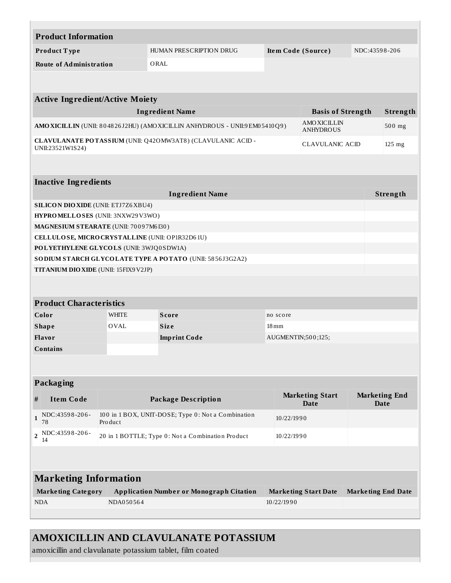| <b>Product Information</b>                      |                                                                                                                                |                                                              |                    |                                       |                           |                              |  |  |  |
|-------------------------------------------------|--------------------------------------------------------------------------------------------------------------------------------|--------------------------------------------------------------|--------------------|---------------------------------------|---------------------------|------------------------------|--|--|--|
| Product Type                                    |                                                                                                                                | HUMAN PRESCRIPTION DRUG                                      | Item Code (Source) |                                       | NDC:43598-206             |                              |  |  |  |
| <b>Route of Administration</b>                  | ORAL                                                                                                                           |                                                              |                    |                                       |                           |                              |  |  |  |
|                                                 |                                                                                                                                |                                                              |                    |                                       |                           |                              |  |  |  |
|                                                 |                                                                                                                                |                                                              |                    |                                       |                           |                              |  |  |  |
| <b>Active Ingredient/Active Moiety</b>          |                                                                                                                                |                                                              |                    |                                       |                           |                              |  |  |  |
|                                                 |                                                                                                                                | <b>Ingredient Name</b>                                       |                    | <b>Basis of Strength</b>              |                           | Strength                     |  |  |  |
|                                                 | <b>AMOXICILLIN</b><br>AMO XICILLIN (UNII: 804826J2HU) (AMO XICILLIN ANHYDROUS - UNII:9EM05410Q9)<br>500 mg<br><b>ANHYDROUS</b> |                                                              |                    |                                       |                           |                              |  |  |  |
| UNII:23521W1S24)                                |                                                                                                                                | CLAVULANATE POTASSIUM (UNII: Q420 MW3AT8) (CLAVULANIC ACID - |                    | <b>CLAVULANIC ACID</b>                |                           | 125 mg                       |  |  |  |
|                                                 |                                                                                                                                |                                                              |                    |                                       |                           |                              |  |  |  |
| <b>Inactive Ingredients</b>                     |                                                                                                                                |                                                              |                    |                                       |                           |                              |  |  |  |
|                                                 |                                                                                                                                | <b>Ingredient Name</b>                                       |                    |                                       |                           | Strength                     |  |  |  |
| <b>SILICON DIO XIDE (UNII: ETJ7Z6 XBU4)</b>     |                                                                                                                                |                                                              |                    |                                       |                           |                              |  |  |  |
| HYPROMELLOSES (UNII: 3NXW29V3WO)                |                                                                                                                                |                                                              |                    |                                       |                           |                              |  |  |  |
| MAGNESIUM STEARATE (UNII: 70097M6I30)           |                                                                                                                                |                                                              |                    |                                       |                           |                              |  |  |  |
| CELLULOSE, MICRO CRYSTALLINE (UNII: OP1R32D61U) |                                                                                                                                |                                                              |                    |                                       |                           |                              |  |  |  |
| POLYETHYLENE GLYCOLS (UNII: 3WJQ0SDW1A)         |                                                                                                                                |                                                              |                    |                                       |                           |                              |  |  |  |
|                                                 |                                                                                                                                | SODIUM STARCH GLYCOLATE TYPE A POTATO (UNII: 5856J3G2A2)     |                    |                                       |                           |                              |  |  |  |
| <b>TITANIUM DIO XIDE (UNII: 15FIX9 V2JP)</b>    |                                                                                                                                |                                                              |                    |                                       |                           |                              |  |  |  |
|                                                 |                                                                                                                                |                                                              |                    |                                       |                           |                              |  |  |  |
| <b>Product Characteristics</b>                  |                                                                                                                                |                                                              |                    |                                       |                           |                              |  |  |  |
| Color                                           | <b>WHITE</b>                                                                                                                   | <b>Score</b>                                                 | no score           |                                       |                           |                              |  |  |  |
| <b>Shape</b>                                    | OVAL                                                                                                                           | <b>Size</b>                                                  | $18 \,\mathrm{mm}$ |                                       |                           |                              |  |  |  |
| Flavor                                          |                                                                                                                                | <b>Imprint Code</b>                                          | AUGMENTIN;500;125; |                                       |                           |                              |  |  |  |
| <b>Contains</b>                                 |                                                                                                                                |                                                              |                    |                                       |                           |                              |  |  |  |
|                                                 |                                                                                                                                |                                                              |                    |                                       |                           |                              |  |  |  |
|                                                 |                                                                                                                                |                                                              |                    |                                       |                           |                              |  |  |  |
| Packaging                                       |                                                                                                                                |                                                              |                    |                                       |                           |                              |  |  |  |
| <b>Item Code</b><br>#                           |                                                                                                                                | <b>Package Description</b>                                   |                    | <b>Marketing Start</b><br><b>Date</b> |                           | <b>Marketing End</b><br>Date |  |  |  |
| NDC:43598-206-<br>$\mathbf{1}$<br>Product<br>78 |                                                                                                                                | 100 in 1 BOX, UNIT-DOSE; Type 0: Not a Combination           | 10/22/1990         |                                       |                           |                              |  |  |  |
| NDC:43598-206-<br>$\overline{\mathbf{2}}$<br>14 |                                                                                                                                | 20 in 1 BOTTLE; Type 0: Not a Combination Product            | 10/22/1990         |                                       |                           |                              |  |  |  |
|                                                 |                                                                                                                                |                                                              |                    |                                       |                           |                              |  |  |  |
| <b>Marketing Information</b>                    |                                                                                                                                |                                                              |                    |                                       |                           |                              |  |  |  |
| <b>Marketing Category</b>                       |                                                                                                                                | <b>Application Number or Monograph Citation</b>              |                    | <b>Marketing Start Date</b>           | <b>Marketing End Date</b> |                              |  |  |  |
| <b>NDA</b>                                      | NDA050564                                                                                                                      |                                                              | 10/22/1990         |                                       |                           |                              |  |  |  |
|                                                 |                                                                                                                                |                                                              |                    |                                       |                           |                              |  |  |  |

amoxicillin and clavulanate potassium tablet, film coated

 $\mathbb{R}^n$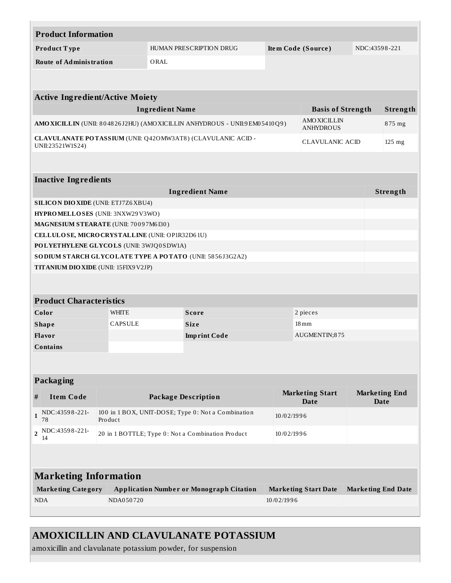|                                                                                                     | <b>Product Information</b>                      |                                                                 |                        |                                                                            |            |                                        |          |                                     |  |
|-----------------------------------------------------------------------------------------------------|-------------------------------------------------|-----------------------------------------------------------------|------------------------|----------------------------------------------------------------------------|------------|----------------------------------------|----------|-------------------------------------|--|
|                                                                                                     | Product Type                                    |                                                                 |                        | HUMAN PRESCRIPTION DRUG                                                    |            | Item Code (Source)                     |          | NDC:43598-221                       |  |
|                                                                                                     | <b>Route of Administration</b>                  |                                                                 | ORAL                   |                                                                            |            |                                        |          |                                     |  |
|                                                                                                     |                                                 |                                                                 |                        |                                                                            |            |                                        |          |                                     |  |
|                                                                                                     | <b>Active Ingredient/Active Moiety</b>          |                                                                 |                        |                                                                            |            |                                        |          |                                     |  |
|                                                                                                     |                                                 |                                                                 | <b>Ingredient Name</b> |                                                                            |            | <b>Basis of Strength</b>               |          | Strength                            |  |
|                                                                                                     |                                                 |                                                                 |                        | AMO XICILLIN (UNII: 804826J2HU) (AMO XICILLIN ANHYDROUS - UNII:9EM05410Q9) |            | <b>AMOXICILLIN</b><br><b>ANHYDROUS</b> |          | 875 mg                              |  |
| CLAVULANATE POTASSIUM (UNII: Q420 MW3AT8) (CLAVULANIC ACID -<br>CLAVULANIC ACID<br>UNII:23521W1S24) |                                                 |                                                                 |                        |                                                                            |            |                                        | $125$ mg |                                     |  |
|                                                                                                     |                                                 |                                                                 |                        |                                                                            |            |                                        |          |                                     |  |
|                                                                                                     | <b>Inactive Ingredients</b>                     |                                                                 |                        |                                                                            |            |                                        |          |                                     |  |
|                                                                                                     |                                                 |                                                                 |                        | <b>Ingredient Name</b>                                                     |            |                                        |          | Strength                            |  |
|                                                                                                     | <b>SILICON DIO XIDE (UNII: ETJ7Z6 XBU4)</b>     |                                                                 |                        |                                                                            |            |                                        |          |                                     |  |
|                                                                                                     | HYPROMELLOSES (UNII: 3NXW29V3WO)                |                                                                 |                        |                                                                            |            |                                        |          |                                     |  |
|                                                                                                     | MAGNESIUM STEARATE (UNII: 70097M6I30)           |                                                                 |                        |                                                                            |            |                                        |          |                                     |  |
|                                                                                                     | CELLULOSE, MICRO CRYSTALLINE (UNII: OP1R32D61U) |                                                                 |                        |                                                                            |            |                                        |          |                                     |  |
|                                                                                                     | POLYETHYLENE GLYCOLS (UNII: 3WJQ0SDW1A)         |                                                                 |                        |                                                                            |            |                                        |          |                                     |  |
|                                                                                                     |                                                 |                                                                 |                        | SODIUM STARCH GLYCOLATE TYPE A POTATO (UNII: 5856J3G2A2)                   |            |                                        |          |                                     |  |
|                                                                                                     | TITANIUM DIO XIDE (UNII: 15FIX9V2JP)            |                                                                 |                        |                                                                            |            |                                        |          |                                     |  |
|                                                                                                     |                                                 |                                                                 |                        |                                                                            |            |                                        |          |                                     |  |
|                                                                                                     | <b>Product Characteristics</b>                  |                                                                 |                        |                                                                            |            |                                        |          |                                     |  |
|                                                                                                     | Color                                           | <b>WHITE</b>                                                    |                        | <b>Score</b>                                                               |            | 2 pieces                               |          |                                     |  |
|                                                                                                     | <b>Shape</b>                                    | <b>CAPSULE</b>                                                  |                        | <b>Size</b>                                                                |            | $18\,\rm{mm}$                          |          |                                     |  |
|                                                                                                     | Flavor                                          |                                                                 |                        | <b>Imprint Code</b>                                                        |            | AUGMENTIN;875                          |          |                                     |  |
|                                                                                                     | <b>Contains</b>                                 |                                                                 |                        |                                                                            |            |                                        |          |                                     |  |
|                                                                                                     |                                                 |                                                                 |                        |                                                                            |            |                                        |          |                                     |  |
|                                                                                                     |                                                 |                                                                 |                        |                                                                            |            |                                        |          |                                     |  |
|                                                                                                     | Packaging                                       |                                                                 |                        |                                                                            |            |                                        |          |                                     |  |
| #                                                                                                   | <b>Item Code</b>                                |                                                                 |                        | <b>Package Description</b>                                                 |            | <b>Marketing Start</b><br><b>Date</b>  |          | <b>Marketing End</b><br><b>Date</b> |  |
| $\mathbf{1}$                                                                                        | NDC:43598-221-<br>78                            | Product                                                         |                        | 100 in 1 BOX, UNIT-DOSE; Type 0: Not a Combination                         | 10/02/1996 |                                        |          |                                     |  |
| 2                                                                                                   | NDC:43598-221-<br>14                            | 20 in 1 BOTTLE; Type 0: Not a Combination Product<br>10/02/1996 |                        |                                                                            |            |                                        |          |                                     |  |
|                                                                                                     |                                                 |                                                                 |                        |                                                                            |            |                                        |          |                                     |  |
|                                                                                                     | <b>Marketing Information</b>                    |                                                                 |                        |                                                                            |            |                                        |          |                                     |  |
|                                                                                                     | <b>Marketing Category</b>                       |                                                                 |                        | <b>Application Number or Monograph Citation</b>                            |            | <b>Marketing Start Date</b>            |          | <b>Marketing End Date</b>           |  |
|                                                                                                     | <b>NDA</b>                                      | NDA050720                                                       |                        |                                                                            | 10/02/1996 |                                        |          |                                     |  |
|                                                                                                     |                                                 |                                                                 |                        |                                                                            |            |                                        |          |                                     |  |

amoxicillin and clavulanate potassium powder, for suspension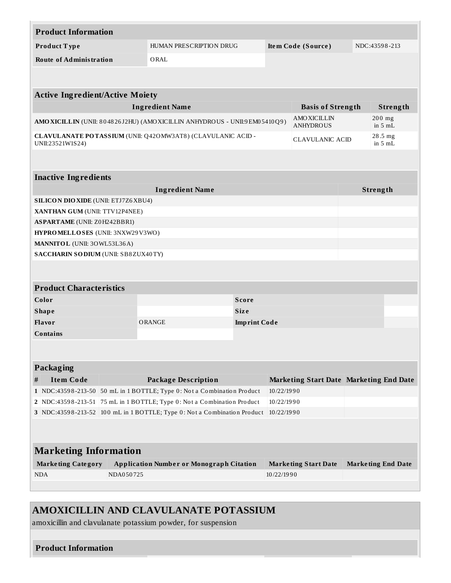|                 | <b>Product Information</b>                         |                                                                                        |                                                                         |                                                                            |            |                                         |  |                           |  |
|-----------------|----------------------------------------------------|----------------------------------------------------------------------------------------|-------------------------------------------------------------------------|----------------------------------------------------------------------------|------------|-----------------------------------------|--|---------------------------|--|
| Product Type    |                                                    |                                                                                        | HUMAN PRESCRIPTION DRUG                                                 |                                                                            |            | Item Code (Source)                      |  | NDC:43598-213             |  |
|                 | <b>Route of Administration</b><br>ORAL             |                                                                                        |                                                                         |                                                                            |            |                                         |  |                           |  |
|                 |                                                    |                                                                                        |                                                                         |                                                                            |            |                                         |  |                           |  |
|                 |                                                    |                                                                                        |                                                                         |                                                                            |            |                                         |  |                           |  |
|                 | <b>Active Ingredient/Active Moiety</b>             |                                                                                        |                                                                         |                                                                            |            |                                         |  |                           |  |
|                 | <b>Ingredient Name</b><br><b>Basis of Strength</b> |                                                                                        |                                                                         |                                                                            |            |                                         |  | Strength                  |  |
|                 |                                                    |                                                                                        |                                                                         | AMO XICILLIN (UNII: 804826J2HU) (AMO XICILLIN ANHYDROUS - UNII:9EM05410Q9) |            |                                         |  | $200$ mg<br>in $5mL$      |  |
|                 | UNII:23521W1S24)                                   |                                                                                        | CLAVULANATE POTASSIUM (UNII: Q420 MW3AT8) (CLAVULANIC ACID -            |                                                                            |            | <b>CLAVULANIC ACID</b>                  |  | 28.5 mg<br>in $5mL$       |  |
|                 |                                                    |                                                                                        |                                                                         |                                                                            |            |                                         |  |                           |  |
|                 | <b>Inactive Ingredients</b>                        |                                                                                        |                                                                         |                                                                            |            |                                         |  |                           |  |
|                 |                                                    |                                                                                        | <b>Ingredient Name</b>                                                  |                                                                            |            |                                         |  | Strength                  |  |
|                 | <b>SILICON DIO XIDE (UNII: ETJ7Z6XBU4)</b>         |                                                                                        |                                                                         |                                                                            |            |                                         |  |                           |  |
|                 | XANTHAN GUM (UNII: TTV12P4NEE)                     |                                                                                        |                                                                         |                                                                            |            |                                         |  |                           |  |
|                 | <b>ASPARTAME</b> (UNII: Z0H242BBR1)                |                                                                                        |                                                                         |                                                                            |            |                                         |  |                           |  |
|                 | HYPROMELLOSES (UNII: 3NXW29V3WO)                   |                                                                                        |                                                                         |                                                                            |            |                                         |  |                           |  |
|                 | MANNITOL (UNII: 30WL53L36A)                        |                                                                                        |                                                                         |                                                                            |            |                                         |  |                           |  |
|                 | SACCHARIN SODIUM (UNII: SB8ZUX40TY)                |                                                                                        |                                                                         |                                                                            |            |                                         |  |                           |  |
|                 |                                                    |                                                                                        |                                                                         |                                                                            |            |                                         |  |                           |  |
|                 | <b>Product Characteristics</b>                     |                                                                                        |                                                                         |                                                                            |            |                                         |  |                           |  |
|                 | Color                                              |                                                                                        |                                                                         | <b>Score</b>                                                               |            |                                         |  |                           |  |
|                 | <b>Shape</b>                                       |                                                                                        |                                                                         | <b>Size</b>                                                                |            |                                         |  |                           |  |
|                 | Flavor                                             |                                                                                        | ORANGE                                                                  | <b>Imprint Code</b>                                                        |            |                                         |  |                           |  |
| <b>Contains</b> |                                                    |                                                                                        |                                                                         |                                                                            |            |                                         |  |                           |  |
|                 |                                                    |                                                                                        |                                                                         |                                                                            |            |                                         |  |                           |  |
|                 | Packaging                                          |                                                                                        |                                                                         |                                                                            |            |                                         |  |                           |  |
| #               | <b>Item Code</b>                                   |                                                                                        | <b>Package Description</b>                                              |                                                                            |            | Marketing Start Date Marketing End Date |  |                           |  |
|                 |                                                    |                                                                                        | 1 NDC:43598-213-50 50 mL in 1 BOTTLE; Type 0: Not a Combination Product |                                                                            | 10/22/1990 |                                         |  |                           |  |
|                 |                                                    | 2 NDC:43598-213-51 75 mL in 1 BOTTLE; Type 0: Not a Combination Product                |                                                                         |                                                                            | 10/22/1990 |                                         |  |                           |  |
|                 |                                                    | 3 NDC:43598-213-52 100 mL in 1 BOTTLE; Type 0: Not a Combination Product<br>10/22/1990 |                                                                         |                                                                            |            |                                         |  |                           |  |
|                 |                                                    |                                                                                        |                                                                         |                                                                            |            |                                         |  |                           |  |
|                 |                                                    |                                                                                        |                                                                         |                                                                            |            |                                         |  |                           |  |
|                 | <b>Marketing Information</b>                       |                                                                                        |                                                                         |                                                                            |            |                                         |  |                           |  |
|                 | <b>Marketing Category</b>                          |                                                                                        | <b>Application Number or Monograph Citation</b>                         |                                                                            |            | <b>Marketing Start Date</b>             |  | <b>Marketing End Date</b> |  |
|                 | <b>NDA</b>                                         | NDA050725                                                                              |                                                                         |                                                                            | 10/22/1990 |                                         |  |                           |  |
|                 |                                                    |                                                                                        |                                                                         |                                                                            |            |                                         |  |                           |  |
|                 |                                                    |                                                                                        |                                                                         |                                                                            |            |                                         |  |                           |  |

amoxicillin and clavulanate potassium powder, for suspension

## **Product Information**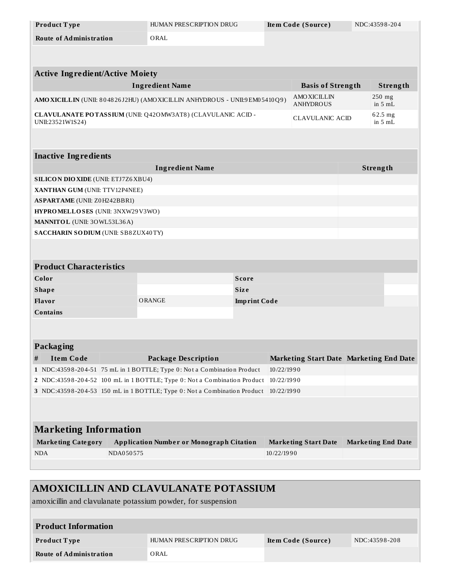| Product Type                                                                                                                               |           | HUMAN PRESCRIPTION DRUG                                      |                     |            | Item Code (Source)                      |  | NDC:43598-204             |
|--------------------------------------------------------------------------------------------------------------------------------------------|-----------|--------------------------------------------------------------|---------------------|------------|-----------------------------------------|--|---------------------------|
| <b>Route of Administration</b>                                                                                                             |           | ORAL                                                         |                     |            |                                         |  |                           |
|                                                                                                                                            |           |                                                              |                     |            |                                         |  |                           |
|                                                                                                                                            |           |                                                              |                     |            |                                         |  |                           |
| <b>Active Ingredient/Active Moiety</b>                                                                                                     |           |                                                              |                     |            |                                         |  |                           |
| <b>Ingredient Name</b><br><b>Basis of Strength</b>                                                                                         |           |                                                              |                     |            |                                         |  | Strength                  |
| 250 mg<br><b>AMOXICILLIN</b><br>AMO XICILLIN (UNII: 804826J2HU) (AMO XICILLIN ANHYDROUS - UNII:9EM05410Q9)<br><b>ANHYDROUS</b><br>in $5mL$ |           |                                                              |                     |            |                                         |  |                           |
| UNII:23521W1S24)                                                                                                                           |           | CLAVULANATE POTASSIUM (UNII: Q420 MW3AT8) (CLAVULANIC ACID - |                     |            | <b>CLAVULANIC ACID</b>                  |  | $62.5$ mg<br>in $5mL$     |
|                                                                                                                                            |           |                                                              |                     |            |                                         |  |                           |
| <b>Inactive Ingredients</b>                                                                                                                |           |                                                              |                     |            |                                         |  |                           |
|                                                                                                                                            |           | <b>Ingredient Name</b>                                       |                     |            |                                         |  | Strength                  |
| <b>SILICON DIO XIDE (UNII: ETJ7Z6 XBU4)</b>                                                                                                |           |                                                              |                     |            |                                         |  |                           |
| XANTHAN GUM (UNII: TTV12P4NEE)                                                                                                             |           |                                                              |                     |            |                                         |  |                           |
| <b>ASPARTAME</b> (UNII: Z0H242BBR1)                                                                                                        |           |                                                              |                     |            |                                         |  |                           |
| HYPROMELLOSES (UNII: 3NXW29V3WO)                                                                                                           |           |                                                              |                     |            |                                         |  |                           |
| MANNITOL (UNII: 30WL53L36A)                                                                                                                |           |                                                              |                     |            |                                         |  |                           |
| SACCHARIN SODIUM (UNII: SB8ZUX40TY)                                                                                                        |           |                                                              |                     |            |                                         |  |                           |
|                                                                                                                                            |           |                                                              |                     |            |                                         |  |                           |
| <b>Product Characteristics</b>                                                                                                             |           |                                                              |                     |            |                                         |  |                           |
| Color                                                                                                                                      |           |                                                              | <b>Score</b>        |            |                                         |  |                           |
| <b>Shape</b>                                                                                                                               |           |                                                              | <b>Size</b>         |            |                                         |  |                           |
| Flavor                                                                                                                                     |           | ORANGE                                                       | <b>Imprint Code</b> |            |                                         |  |                           |
| <b>Contains</b>                                                                                                                            |           |                                                              |                     |            |                                         |  |                           |
|                                                                                                                                            |           |                                                              |                     |            |                                         |  |                           |
| <b>Packaging</b>                                                                                                                           |           |                                                              |                     |            |                                         |  |                           |
| <b>Item Code</b><br>#                                                                                                                      |           | <b>Package Description</b>                                   |                     |            | Marketing Start Date Marketing End Date |  |                           |
| 10/22/1990<br>1 NDC:43598-204-51 75 mL in 1 BOTTLE; Type 0: Not a Combination Product                                                      |           |                                                              |                     |            |                                         |  |                           |
| 2 NDC:43598-204-52 100 mL in 1 BOTTLE; Type 0: Not a Combination Product<br>10/22/1990                                                     |           |                                                              |                     |            |                                         |  |                           |
| 3 NDC:43598-204-53 150 mL in 1 BOTTLE; Type 0: Not a Combination Product<br>10/22/1990                                                     |           |                                                              |                     |            |                                         |  |                           |
|                                                                                                                                            |           |                                                              |                     |            |                                         |  |                           |
| <b>Marketing Information</b>                                                                                                               |           |                                                              |                     |            |                                         |  |                           |
|                                                                                                                                            |           |                                                              |                     |            |                                         |  |                           |
| <b>Marketing Category</b>                                                                                                                  |           | <b>Application Number or Monograph Citation</b>              |                     |            | <b>Marketing Start Date</b>             |  | <b>Marketing End Date</b> |
| <b>NDA</b>                                                                                                                                 | NDA050575 |                                                              |                     | 10/22/1990 |                                         |  |                           |
|                                                                                                                                            |           |                                                              |                     |            |                                         |  |                           |

| AMOXICILLIN AND CLAVULANATE POTASSIUM                        |                         |                    |               |  |  |  |  |
|--------------------------------------------------------------|-------------------------|--------------------|---------------|--|--|--|--|
| amoxicillin and clavulanate potassium powder, for suspension |                         |                    |               |  |  |  |  |
|                                                              |                         |                    |               |  |  |  |  |
| <b>Product Information</b>                                   |                         |                    |               |  |  |  |  |
| Product Type                                                 | HUMAN PRESCRIPTION DRUG | Item Code (Source) | NDC:43598-208 |  |  |  |  |
| <b>Route of Administration</b>                               | ORAL                    |                    |               |  |  |  |  |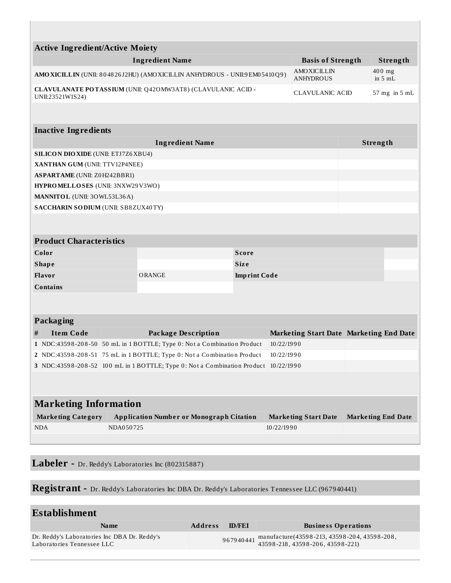| <b>Active Ingredient/Active Moiety</b>                                              |                                                                                                                                                    |                                                                            |                     |                             |                                         |          |                           |  |  |
|-------------------------------------------------------------------------------------|----------------------------------------------------------------------------------------------------------------------------------------------------|----------------------------------------------------------------------------|---------------------|-----------------------------|-----------------------------------------|----------|---------------------------|--|--|
|                                                                                     |                                                                                                                                                    | <b>Ingredient Name</b>                                                     |                     |                             | <b>Basis of Strength</b>                |          | Strength                  |  |  |
|                                                                                     |                                                                                                                                                    | AMO XICILLIN (UNII: 804826J2HU) (AMO XICILLIN ANHYDROUS - UNII:9EM05410Q9) |                     |                             | <b>AMOXICILLIN</b><br><b>ANHYDROUS</b>  |          | 400 mg<br>in $5mL$        |  |  |
| UNII:23521W1S24)                                                                    |                                                                                                                                                    | CLAVULANATE POTASSIUM (UNII: Q420 MW3AT8) (CLAVULANIC ACID -               |                     |                             | <b>CLAVULANIC ACID</b>                  |          | $57$ mg in $5$ mL         |  |  |
|                                                                                     |                                                                                                                                                    |                                                                            |                     |                             |                                         |          |                           |  |  |
|                                                                                     | <b>Inactive Ingredients</b>                                                                                                                        |                                                                            |                     |                             |                                         |          |                           |  |  |
|                                                                                     |                                                                                                                                                    | <b>Ingredient Name</b>                                                     |                     |                             |                                         | Strength |                           |  |  |
| <b>SILICON DIO XIDE (UNII: ETJ7Z6 XBU4)</b>                                         |                                                                                                                                                    |                                                                            |                     |                             |                                         |          |                           |  |  |
| XANTHAN GUM (UNII: TTV12P4NEE)                                                      |                                                                                                                                                    |                                                                            |                     |                             |                                         |          |                           |  |  |
| <b>ASPARTAME</b> (UNII: Z0H242BBR1)                                                 |                                                                                                                                                    |                                                                            |                     |                             |                                         |          |                           |  |  |
| HYPROMELLOSES (UNII: 3NXW29V3WO)                                                    |                                                                                                                                                    |                                                                            |                     |                             |                                         |          |                           |  |  |
| MANNITOL (UNII: 30WL53L36A)                                                         |                                                                                                                                                    |                                                                            |                     |                             |                                         |          |                           |  |  |
| SACCHARIN SODIUM (UNII: SB8ZUX40TY)                                                 |                                                                                                                                                    |                                                                            |                     |                             |                                         |          |                           |  |  |
|                                                                                     |                                                                                                                                                    |                                                                            |                     |                             |                                         |          |                           |  |  |
| <b>Product Characteristics</b>                                                      |                                                                                                                                                    |                                                                            |                     |                             |                                         |          |                           |  |  |
| Color                                                                               |                                                                                                                                                    |                                                                            | <b>Score</b>        |                             |                                         |          |                           |  |  |
| <b>Shape</b>                                                                        |                                                                                                                                                    |                                                                            | <b>Size</b>         |                             |                                         |          |                           |  |  |
| Flavor                                                                              |                                                                                                                                                    | <b>ORANGE</b>                                                              | <b>Imprint Code</b> |                             |                                         |          |                           |  |  |
| <b>Contains</b>                                                                     |                                                                                                                                                    |                                                                            |                     |                             |                                         |          |                           |  |  |
|                                                                                     |                                                                                                                                                    |                                                                            |                     |                             |                                         |          |                           |  |  |
| <b>Packaging</b>                                                                    |                                                                                                                                                    |                                                                            |                     |                             |                                         |          |                           |  |  |
| <b>Item Code</b><br>$\#$                                                            |                                                                                                                                                    | <b>Package Description</b>                                                 |                     |                             | Marketing Start Date Marketing End Date |          |                           |  |  |
|                                                                                     |                                                                                                                                                    |                                                                            |                     | 10/22/1990                  |                                         |          |                           |  |  |
|                                                                                     | 1 NDC:43598-208-50 50 mL in 1 BOTTLE; Type 0: Not a Combination Product<br>2 NDC:43598-208-51 75 mL in 1 BOTTLE; Type 0: Not a Combination Product |                                                                            |                     |                             | 10/22/1990                              |          |                           |  |  |
| 3 NDC:43598-208-52 100 mL in 1 BOTTLE; Type 0: Not a Combination Product 10/22/1990 |                                                                                                                                                    |                                                                            |                     |                             |                                         |          |                           |  |  |
|                                                                                     |                                                                                                                                                    |                                                                            |                     |                             |                                         |          |                           |  |  |
|                                                                                     |                                                                                                                                                    |                                                                            |                     |                             |                                         |          |                           |  |  |
|                                                                                     | <b>Marketing Information</b>                                                                                                                       |                                                                            |                     |                             |                                         |          |                           |  |  |
| <b>Marketing Category</b>                                                           |                                                                                                                                                    | <b>Application Number or Monograph Citation</b>                            |                     | <b>Marketing Start Date</b> |                                         |          | <b>Marketing End Date</b> |  |  |
| <b>NDA</b>                                                                          | NDA050725                                                                                                                                          |                                                                            |                     | 10/22/1990                  |                                         |          |                           |  |  |
|                                                                                     |                                                                                                                                                    |                                                                            |                     |                             |                                         |          |                           |  |  |
|                                                                                     |                                                                                                                                                    |                                                                            |                     |                             |                                         |          |                           |  |  |

**Labeler -** Dr. Reddy's Laboratories Inc (802315887)

Registrant - Dr. Reddy's Laboratories Inc DBA Dr. Reddy's Laboratories Tennessee LLC (967940441)

| Establishment                                                              |                |               |                                                                                                    |  |  |
|----------------------------------------------------------------------------|----------------|---------------|----------------------------------------------------------------------------------------------------|--|--|
| <b>Name</b>                                                                | <b>Address</b> | <b>ID/FEI</b> | <b>Business Operations</b>                                                                         |  |  |
| Dr. Reddy's Laboratories Inc DBA Dr. Reddy's<br>Laboratories Tennessee LLC |                |               | 967940441 manufacture(43598-213, 43598-204, 43598-208, 43598-208, 43598-218, 43598-206, 43598-221) |  |  |